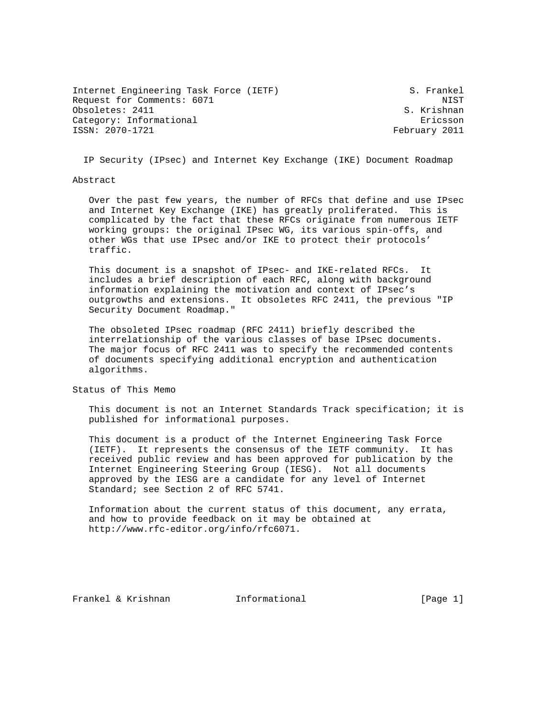Internet Engineering Task Force (IETF) S. Frankel Request for Comments: 6071 NIST<br>
Obsoletes: 2411 S. Krishnan Obsoletes: 2411 Category: Informational example of the contraction of the contraction of the contraction of the contraction of the contraction of the contraction of the contraction of the contraction of the contraction of the contraction ISSN: 2070-1721 February 2011

IP Security (IPsec) and Internet Key Exchange (IKE) Document Roadmap

#### Abstract

 Over the past few years, the number of RFCs that define and use IPsec and Internet Key Exchange (IKE) has greatly proliferated. This is complicated by the fact that these RFCs originate from numerous IETF working groups: the original IPsec WG, its various spin-offs, and other WGs that use IPsec and/or IKE to protect their protocols' traffic.

 This document is a snapshot of IPsec- and IKE-related RFCs. It includes a brief description of each RFC, along with background information explaining the motivation and context of IPsec's outgrowths and extensions. It obsoletes RFC 2411, the previous "IP Security Document Roadmap."

 The obsoleted IPsec roadmap (RFC 2411) briefly described the interrelationship of the various classes of base IPsec documents. The major focus of RFC 2411 was to specify the recommended contents of documents specifying additional encryption and authentication algorithms.

Status of This Memo

 This document is not an Internet Standards Track specification; it is published for informational purposes.

 This document is a product of the Internet Engineering Task Force (IETF). It represents the consensus of the IETF community. It has received public review and has been approved for publication by the Internet Engineering Steering Group (IESG). Not all documents approved by the IESG are a candidate for any level of Internet Standard; see Section 2 of RFC 5741.

 Information about the current status of this document, any errata, and how to provide feedback on it may be obtained at http://www.rfc-editor.org/info/rfc6071.

Frankel & Krishnan Thermational (Page 1)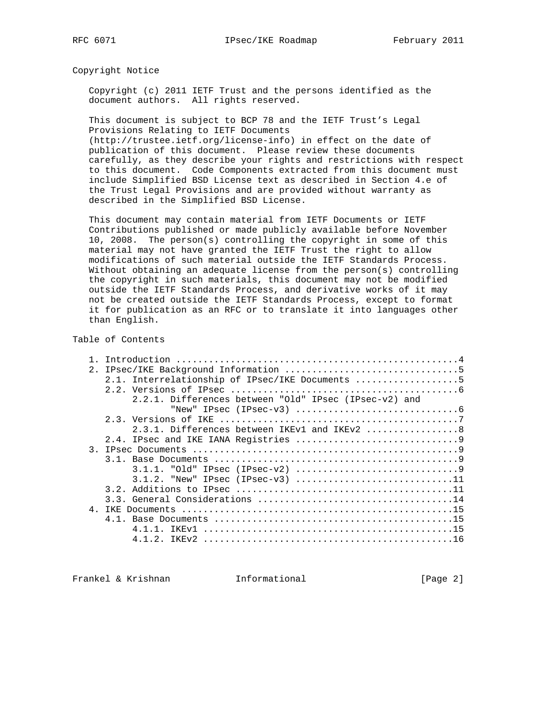Copyright Notice

 Copyright (c) 2011 IETF Trust and the persons identified as the document authors. All rights reserved.

 This document is subject to BCP 78 and the IETF Trust's Legal Provisions Relating to IETF Documents

 (http://trustee.ietf.org/license-info) in effect on the date of publication of this document. Please review these documents carefully, as they describe your rights and restrictions with respect to this document. Code Components extracted from this document must include Simplified BSD License text as described in Section 4.e of the Trust Legal Provisions and are provided without warranty as described in the Simplified BSD License.

 This document may contain material from IETF Documents or IETF Contributions published or made publicly available before November 10, 2008. The person(s) controlling the copyright in some of this material may not have granted the IETF Trust the right to allow modifications of such material outside the IETF Standards Process. Without obtaining an adequate license from the person(s) controlling the copyright in such materials, this document may not be modified outside the IETF Standards Process, and derivative works of it may not be created outside the IETF Standards Process, except to format it for publication as an RFC or to translate it into languages other than English.

## Table of Contents

| 2.1              |                                                       |
|------------------|-------------------------------------------------------|
|                  | 2.1. Interrelationship of IPsec/IKE Documents 5       |
|                  |                                                       |
|                  | 2.2.1. Differences between "Old" IPsec (IPsec-v2) and |
|                  |                                                       |
|                  |                                                       |
|                  | $2.3.1.$ Differences between IKEv1 and IKEv2 8        |
|                  |                                                       |
| $\overline{3}$ . |                                                       |
|                  |                                                       |
|                  |                                                       |
|                  | $3.1.2.$ "New" IPsec (IPsec-v3) 11                    |
|                  |                                                       |
|                  |                                                       |
| 4 <sub>1</sub>   |                                                       |
|                  |                                                       |
|                  |                                                       |
|                  |                                                       |
|                  |                                                       |

Frankel & Krishnan Informational [Page 2]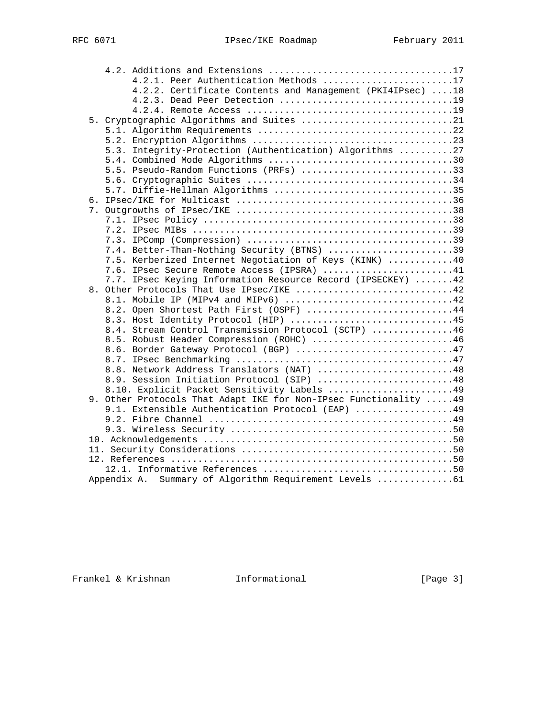|  | 4.2.1. Peer Authentication Methods 17                             |  |
|--|-------------------------------------------------------------------|--|
|  | 4.2.2. Certificate Contents and Management (PKI4IPsec) 18         |  |
|  | 4.2.3. Dead Peer Detection 19                                     |  |
|  |                                                                   |  |
|  | 5. Cryptographic Algorithms and Suites 21                         |  |
|  |                                                                   |  |
|  |                                                                   |  |
|  | 5.3. Integrity-Protection (Authentication) Algorithms 27          |  |
|  |                                                                   |  |
|  | 5.5. Pseudo-Random Functions (PRFs) 33                            |  |
|  |                                                                   |  |
|  | 5.7. Diffie-Hellman Algorithms 35                                 |  |
|  |                                                                   |  |
|  |                                                                   |  |
|  |                                                                   |  |
|  |                                                                   |  |
|  |                                                                   |  |
|  | 7.4. Better-Than-Nothing Security (BTNS) 39                       |  |
|  | 7.5. Kerberized Internet Negotiation of Keys (KINK) 40            |  |
|  | 7.6. IPsec Secure Remote Access (IPSRA) 41                        |  |
|  | 7.7. IPsec Keying Information Resource Record (IPSECKEY) 42       |  |
|  | 8. Other Protocols That Use IPsec/IKE 42                          |  |
|  | 8.1. Mobile IP (MIPv4 and MIPv6) 42                               |  |
|  | 8.2. Open Shortest Path First (OSPF) 44                           |  |
|  | 8.3. Host Identity Protocol (HIP) 45                              |  |
|  | 8.4. Stream Control Transmission Protocol (SCTP) 46               |  |
|  | 8.5. Robust Header Compression (ROHC) 46                          |  |
|  | 8.6. Border Gateway Protocol (BGP) 47                             |  |
|  |                                                                   |  |
|  | 8.8. Network Address Translators (NAT) 48                         |  |
|  | 8.9. Session Initiation Protocol (SIP) 48                         |  |
|  | 8.10. Explicit Packet Sensitivity Labels 49                       |  |
|  | 9. Other Protocols That Adapt IKE for Non-IPsec Functionality  49 |  |
|  | 9.1. Extensible Authentication Protocol (EAP) 49                  |  |
|  |                                                                   |  |
|  |                                                                   |  |
|  |                                                                   |  |
|  |                                                                   |  |
|  |                                                                   |  |
|  | Appendix A. Summary of Algorithm Requirement Levels  61           |  |
|  |                                                                   |  |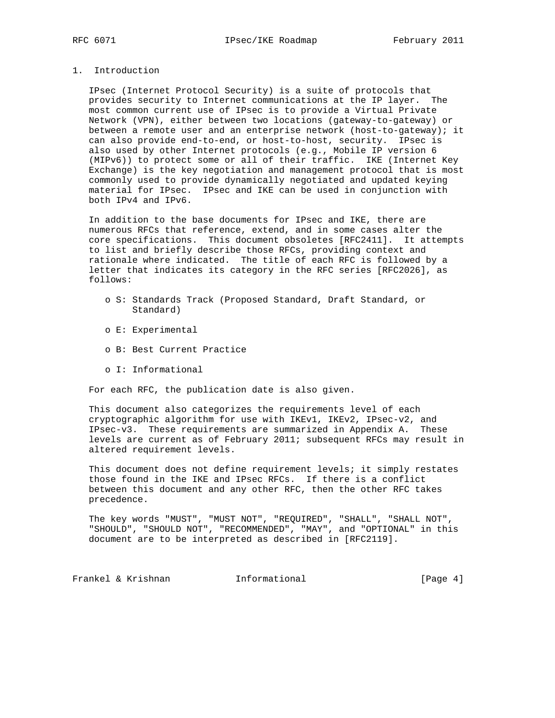## 1. Introduction

 IPsec (Internet Protocol Security) is a suite of protocols that provides security to Internet communications at the IP layer. The most common current use of IPsec is to provide a Virtual Private Network (VPN), either between two locations (gateway-to-gateway) or between a remote user and an enterprise network (host-to-gateway); it can also provide end-to-end, or host-to-host, security. IPsec is also used by other Internet protocols (e.g., Mobile IP version 6 (MIPv6)) to protect some or all of their traffic. IKE (Internet Key Exchange) is the key negotiation and management protocol that is most commonly used to provide dynamically negotiated and updated keying material for IPsec. IPsec and IKE can be used in conjunction with both IPv4 and IPv6.

 In addition to the base documents for IPsec and IKE, there are numerous RFCs that reference, extend, and in some cases alter the core specifications. This document obsoletes [RFC2411]. It attempts to list and briefly describe those RFCs, providing context and rationale where indicated. The title of each RFC is followed by a letter that indicates its category in the RFC series [RFC2026], as follows:

- o S: Standards Track (Proposed Standard, Draft Standard, or Standard)
- o E: Experimental
- o B: Best Current Practice
- o I: Informational

For each RFC, the publication date is also given.

 This document also categorizes the requirements level of each cryptographic algorithm for use with IKEv1, IKEv2, IPsec-v2, and IPsec-v3. These requirements are summarized in Appendix A. These levels are current as of February 2011; subsequent RFCs may result in altered requirement levels.

 This document does not define requirement levels; it simply restates those found in the IKE and IPsec RFCs. If there is a conflict between this document and any other RFC, then the other RFC takes precedence.

 The key words "MUST", "MUST NOT", "REQUIRED", "SHALL", "SHALL NOT", "SHOULD", "SHOULD NOT", "RECOMMENDED", "MAY", and "OPTIONAL" in this document are to be interpreted as described in [RFC2119].

Frankel & Krishnan Informational [Page 4]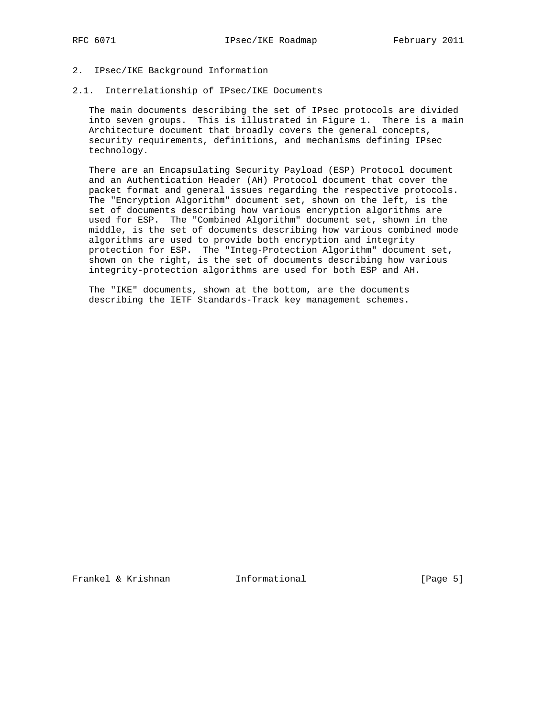## 2. IPsec/IKE Background Information

## 2.1. Interrelationship of IPsec/IKE Documents

 The main documents describing the set of IPsec protocols are divided into seven groups. This is illustrated in Figure 1. There is a main Architecture document that broadly covers the general concepts, security requirements, definitions, and mechanisms defining IPsec technology.

 There are an Encapsulating Security Payload (ESP) Protocol document and an Authentication Header (AH) Protocol document that cover the packet format and general issues regarding the respective protocols. The "Encryption Algorithm" document set, shown on the left, is the set of documents describing how various encryption algorithms are used for ESP. The "Combined Algorithm" document set, shown in the middle, is the set of documents describing how various combined mode algorithms are used to provide both encryption and integrity protection for ESP. The "Integ-Protection Algorithm" document set, shown on the right, is the set of documents describing how various integrity-protection algorithms are used for both ESP and AH.

 The "IKE" documents, shown at the bottom, are the documents describing the IETF Standards-Track key management schemes.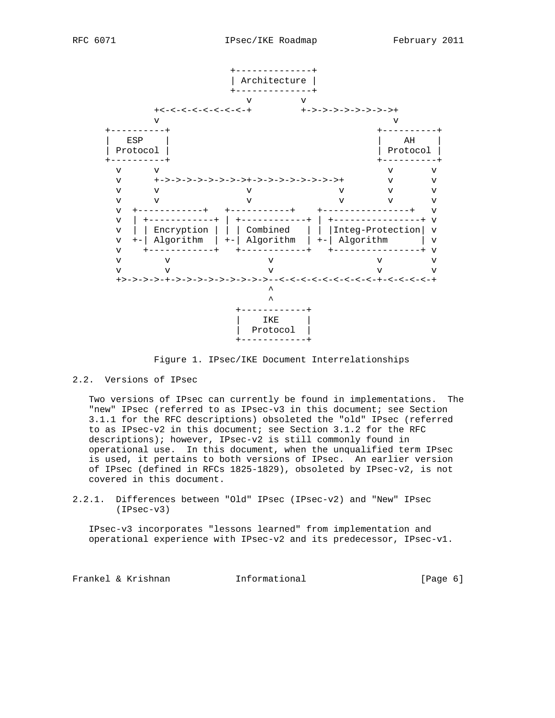



Figure 1. IPsec/IKE Document Interrelationships

## 2.2. Versions of IPsec

 Two versions of IPsec can currently be found in implementations. The "new" IPsec (referred to as IPsec-v3 in this document; see Section 3.1.1 for the RFC descriptions) obsoleted the "old" IPsec (referred to as IPsec-v2 in this document; see Section 3.1.2 for the RFC descriptions); however, IPsec-v2 is still commonly found in operational use. In this document, when the unqualified term IPsec is used, it pertains to both versions of IPsec. An earlier version of IPsec (defined in RFCs 1825-1829), obsoleted by IPsec-v2, is not covered in this document.

2.2.1. Differences between "Old" IPsec (IPsec-v2) and "New" IPsec (IPsec-v3)

 IPsec-v3 incorporates "lessons learned" from implementation and operational experience with IPsec-v2 and its predecessor, IPsec-v1.

Frankel & Krishnan Thformational (Page 6)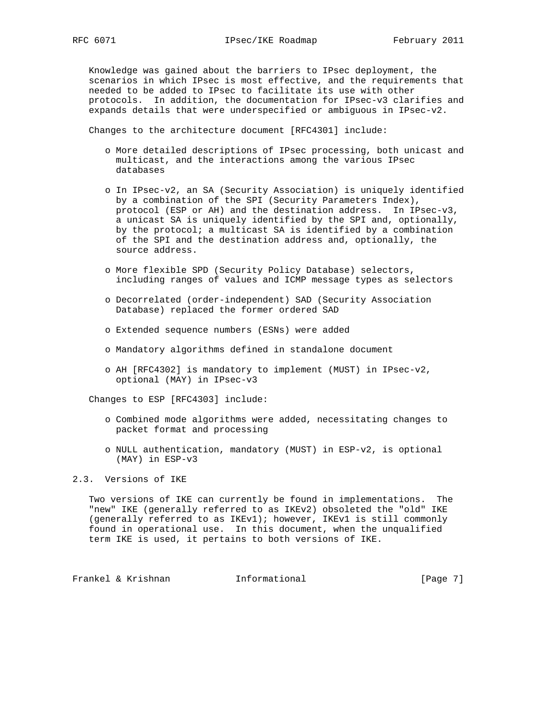Knowledge was gained about the barriers to IPsec deployment, the scenarios in which IPsec is most effective, and the requirements that needed to be added to IPsec to facilitate its use with other protocols. In addition, the documentation for IPsec-v3 clarifies and expands details that were underspecified or ambiguous in IPsec-v2.

Changes to the architecture document [RFC4301] include:

- o More detailed descriptions of IPsec processing, both unicast and multicast, and the interactions among the various IPsec databases
- o In IPsec-v2, an SA (Security Association) is uniquely identified by a combination of the SPI (Security Parameters Index), protocol (ESP or AH) and the destination address. In IPsec-v3, a unicast SA is uniquely identified by the SPI and, optionally, by the protocol; a multicast SA is identified by a combination of the SPI and the destination address and, optionally, the source address.
- o More flexible SPD (Security Policy Database) selectors, including ranges of values and ICMP message types as selectors
- o Decorrelated (order-independent) SAD (Security Association Database) replaced the former ordered SAD
- o Extended sequence numbers (ESNs) were added
- o Mandatory algorithms defined in standalone document
- o AH [RFC4302] is mandatory to implement (MUST) in IPsec-v2, optional (MAY) in IPsec-v3

Changes to ESP [RFC4303] include:

- o Combined mode algorithms were added, necessitating changes to packet format and processing
- o NULL authentication, mandatory (MUST) in ESP-v2, is optional (MAY) in ESP-v3

## 2.3. Versions of IKE

 Two versions of IKE can currently be found in implementations. The "new" IKE (generally referred to as IKEv2) obsoleted the "old" IKE (generally referred to as IKEv1); however, IKEv1 is still commonly found in operational use. In this document, when the unqualified term IKE is used, it pertains to both versions of IKE.

Frankel & Krishnan Thermational Theorem [Page 7]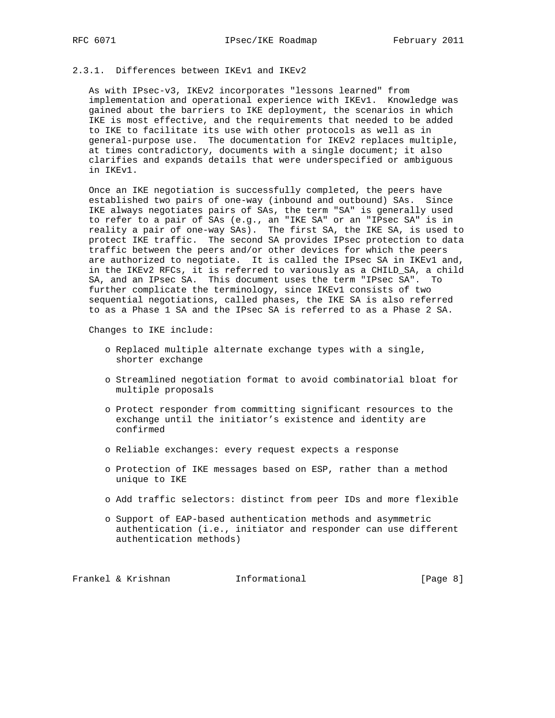## 2.3.1. Differences between IKEv1 and IKEv2

 As with IPsec-v3, IKEv2 incorporates "lessons learned" from implementation and operational experience with IKEv1. Knowledge was gained about the barriers to IKE deployment, the scenarios in which IKE is most effective, and the requirements that needed to be added to IKE to facilitate its use with other protocols as well as in general-purpose use. The documentation for IKEv2 replaces multiple, at times contradictory, documents with a single document; it also clarifies and expands details that were underspecified or ambiguous in IKEv1.

 Once an IKE negotiation is successfully completed, the peers have established two pairs of one-way (inbound and outbound) SAs. Since IKE always negotiates pairs of SAs, the term "SA" is generally used to refer to a pair of SAs (e.g., an "IKE SA" or an "IPsec SA" is in reality a pair of one-way SAs). The first SA, the IKE SA, is used to protect IKE traffic. The second SA provides IPsec protection to data traffic between the peers and/or other devices for which the peers are authorized to negotiate. It is called the IPsec SA in IKEv1 and, in the IKEv2 RFCs, it is referred to variously as a CHILD\_SA, a child SA, and an IPsec SA. This document uses the term "IPsec SA". To further complicate the terminology, since IKEv1 consists of two sequential negotiations, called phases, the IKE SA is also referred to as a Phase 1 SA and the IPsec SA is referred to as a Phase 2 SA.

Changes to IKE include:

- o Replaced multiple alternate exchange types with a single, shorter exchange
- o Streamlined negotiation format to avoid combinatorial bloat for multiple proposals
- o Protect responder from committing significant resources to the exchange until the initiator's existence and identity are confirmed
- o Reliable exchanges: every request expects a response
- o Protection of IKE messages based on ESP, rather than a method unique to IKE
- o Add traffic selectors: distinct from peer IDs and more flexible
- o Support of EAP-based authentication methods and asymmetric authentication (i.e., initiator and responder can use different authentication methods)

Frankel & Krishnan Thformational Frankel & Krishnan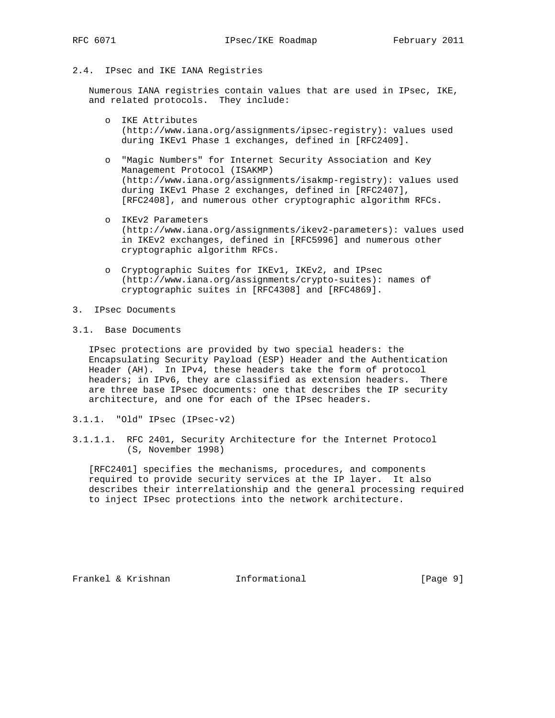## 2.4. IPsec and IKE IANA Registries

 Numerous IANA registries contain values that are used in IPsec, IKE, and related protocols. They include:

- o IKE Attributes (http://www.iana.org/assignments/ipsec-registry): values used during IKEv1 Phase 1 exchanges, defined in [RFC2409].
- o "Magic Numbers" for Internet Security Association and Key Management Protocol (ISAKMP) (http://www.iana.org/assignments/isakmp-registry): values used during IKEv1 Phase 2 exchanges, defined in [RFC2407], [RFC2408], and numerous other cryptographic algorithm RFCs.
- o IKEv2 Parameters (http://www.iana.org/assignments/ikev2-parameters): values used in IKEv2 exchanges, defined in [RFC5996] and numerous other cryptographic algorithm RFCs.
- o Cryptographic Suites for IKEv1, IKEv2, and IPsec (http://www.iana.org/assignments/crypto-suites): names of cryptographic suites in [RFC4308] and [RFC4869].
- 3. IPsec Documents
- 3.1. Base Documents

 IPsec protections are provided by two special headers: the Encapsulating Security Payload (ESP) Header and the Authentication Header (AH). In IPv4, these headers take the form of protocol headers; in IPv6, they are classified as extension headers. There are three base IPsec documents: one that describes the IP security architecture, and one for each of the IPsec headers.

- 3.1.1. "Old" IPsec (IPsec-v2)
- 3.1.1.1. RFC 2401, Security Architecture for the Internet Protocol (S, November 1998)

 [RFC2401] specifies the mechanisms, procedures, and components required to provide security services at the IP layer. It also describes their interrelationship and the general processing required to inject IPsec protections into the network architecture.

Frankel & Krishnan Informational [Page 9]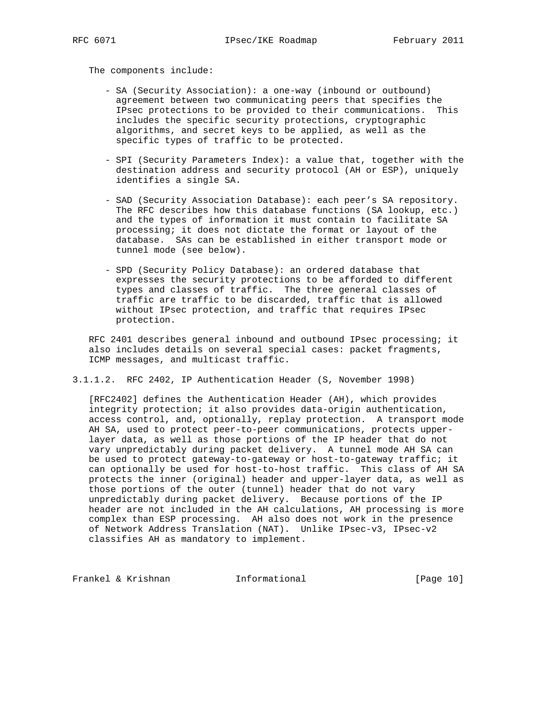The components include:

- SA (Security Association): a one-way (inbound or outbound) agreement between two communicating peers that specifies the IPsec protections to be provided to their communications. This includes the specific security protections, cryptographic algorithms, and secret keys to be applied, as well as the specific types of traffic to be protected.
- SPI (Security Parameters Index): a value that, together with the destination address and security protocol (AH or ESP), uniquely identifies a single SA.
- SAD (Security Association Database): each peer's SA repository. The RFC describes how this database functions (SA lookup, etc.) and the types of information it must contain to facilitate SA processing; it does not dictate the format or layout of the database. SAs can be established in either transport mode or tunnel mode (see below).
- SPD (Security Policy Database): an ordered database that expresses the security protections to be afforded to different types and classes of traffic. The three general classes of traffic are traffic to be discarded, traffic that is allowed without IPsec protection, and traffic that requires IPsec protection.

 RFC 2401 describes general inbound and outbound IPsec processing; it also includes details on several special cases: packet fragments, ICMP messages, and multicast traffic.

3.1.1.2. RFC 2402, IP Authentication Header (S, November 1998)

 [RFC2402] defines the Authentication Header (AH), which provides integrity protection; it also provides data-origin authentication, access control, and, optionally, replay protection. A transport mode AH SA, used to protect peer-to-peer communications, protects upper layer data, as well as those portions of the IP header that do not vary unpredictably during packet delivery. A tunnel mode AH SA can be used to protect gateway-to-gateway or host-to-gateway traffic; it can optionally be used for host-to-host traffic. This class of AH SA protects the inner (original) header and upper-layer data, as well as those portions of the outer (tunnel) header that do not vary unpredictably during packet delivery. Because portions of the IP header are not included in the AH calculations, AH processing is more complex than ESP processing. AH also does not work in the presence of Network Address Translation (NAT). Unlike IPsec-v3, IPsec-v2 classifies AH as mandatory to implement.

Frankel & Krishnan Thformational [Page 10]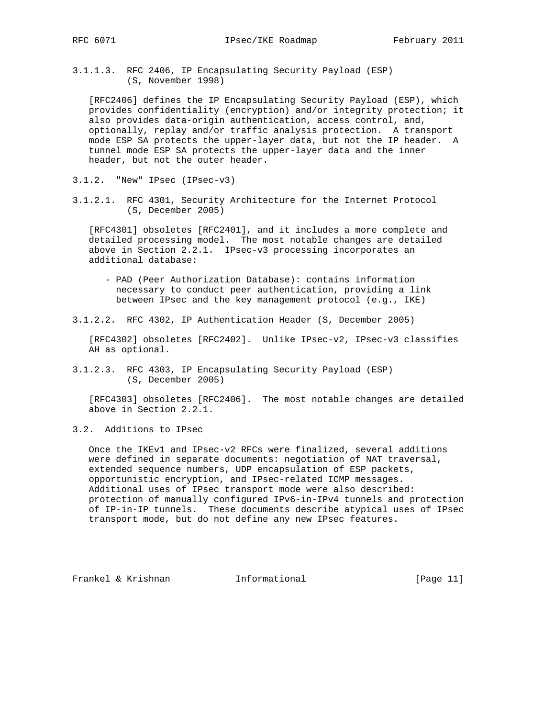3.1.1.3. RFC 2406, IP Encapsulating Security Payload (ESP) (S, November 1998)

 [RFC2406] defines the IP Encapsulating Security Payload (ESP), which provides confidentiality (encryption) and/or integrity protection; it also provides data-origin authentication, access control, and, optionally, replay and/or traffic analysis protection. A transport mode ESP SA protects the upper-layer data, but not the IP header. A tunnel mode ESP SA protects the upper-layer data and the inner header, but not the outer header.

- 3.1.2. "New" IPsec (IPsec-v3)
- 3.1.2.1. RFC 4301, Security Architecture for the Internet Protocol (S, December 2005)

 [RFC4301] obsoletes [RFC2401], and it includes a more complete and detailed processing model. The most notable changes are detailed above in Section 2.2.1. IPsec-v3 processing incorporates an additional database:

- PAD (Peer Authorization Database): contains information necessary to conduct peer authentication, providing a link between IPsec and the key management protocol (e.g., IKE)
- 3.1.2.2. RFC 4302, IP Authentication Header (S, December 2005)

 [RFC4302] obsoletes [RFC2402]. Unlike IPsec-v2, IPsec-v3 classifies AH as optional.

3.1.2.3. RFC 4303, IP Encapsulating Security Payload (ESP) (S, December 2005)

 [RFC4303] obsoletes [RFC2406]. The most notable changes are detailed above in Section 2.2.1.

3.2. Additions to IPsec

 Once the IKEv1 and IPsec-v2 RFCs were finalized, several additions were defined in separate documents: negotiation of NAT traversal, extended sequence numbers, UDP encapsulation of ESP packets, opportunistic encryption, and IPsec-related ICMP messages. Additional uses of IPsec transport mode were also described: protection of manually configured IPv6-in-IPv4 tunnels and protection of IP-in-IP tunnels. These documents describe atypical uses of IPsec transport mode, but do not define any new IPsec features.

Frankel & Krishnan **Informational** [Page 11]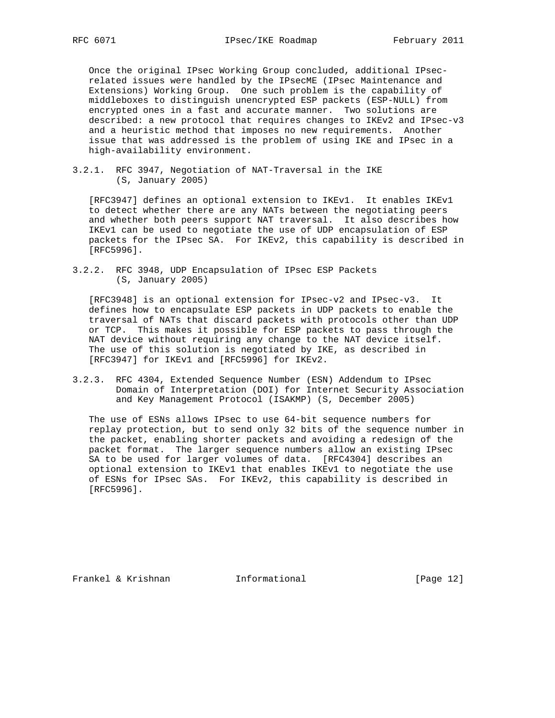Once the original IPsec Working Group concluded, additional IPsec related issues were handled by the IPsecME (IPsec Maintenance and Extensions) Working Group. One such problem is the capability of middleboxes to distinguish unencrypted ESP packets (ESP-NULL) from encrypted ones in a fast and accurate manner. Two solutions are described: a new protocol that requires changes to IKEv2 and IPsec-v3 and a heuristic method that imposes no new requirements. Another issue that was addressed is the problem of using IKE and IPsec in a high-availability environment.

3.2.1. RFC 3947, Negotiation of NAT-Traversal in the IKE (S, January 2005)

 [RFC3947] defines an optional extension to IKEv1. It enables IKEv1 to detect whether there are any NATs between the negotiating peers and whether both peers support NAT traversal. It also describes how IKEv1 can be used to negotiate the use of UDP encapsulation of ESP packets for the IPsec SA. For IKEv2, this capability is described in [RFC5996].

3.2.2. RFC 3948, UDP Encapsulation of IPsec ESP Packets (S, January 2005)

 [RFC3948] is an optional extension for IPsec-v2 and IPsec-v3. It defines how to encapsulate ESP packets in UDP packets to enable the traversal of NATs that discard packets with protocols other than UDP or TCP. This makes it possible for ESP packets to pass through the NAT device without requiring any change to the NAT device itself. The use of this solution is negotiated by IKE, as described in [RFC3947] for IKEv1 and [RFC5996] for IKEv2.

3.2.3. RFC 4304, Extended Sequence Number (ESN) Addendum to IPsec Domain of Interpretation (DOI) for Internet Security Association and Key Management Protocol (ISAKMP) (S, December 2005)

 The use of ESNs allows IPsec to use 64-bit sequence numbers for replay protection, but to send only 32 bits of the sequence number in the packet, enabling shorter packets and avoiding a redesign of the packet format. The larger sequence numbers allow an existing IPsec SA to be used for larger volumes of data. [RFC4304] describes an optional extension to IKEv1 that enables IKEv1 to negotiate the use of ESNs for IPsec SAs. For IKEv2, this capability is described in [RFC5996].

Frankel & Krishnan **Informational** [Page 12]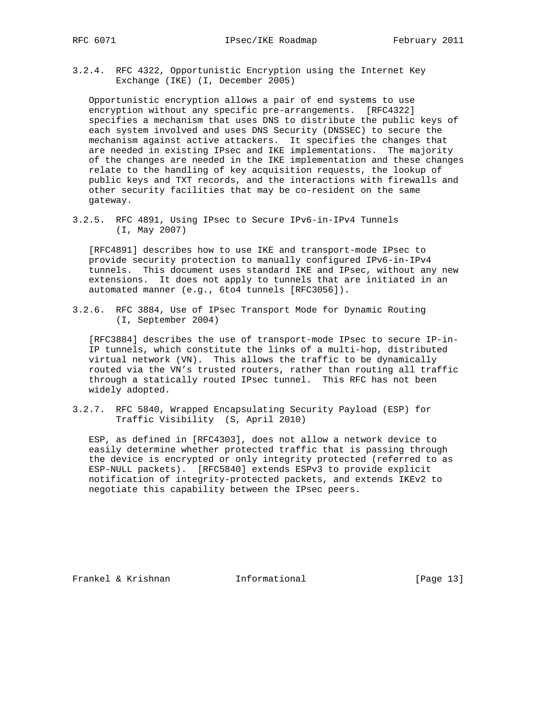3.2.4. RFC 4322, Opportunistic Encryption using the Internet Key Exchange (IKE) (I, December 2005)

 Opportunistic encryption allows a pair of end systems to use encryption without any specific pre-arrangements. [RFC4322] specifies a mechanism that uses DNS to distribute the public keys of each system involved and uses DNS Security (DNSSEC) to secure the mechanism against active attackers. It specifies the changes that are needed in existing IPsec and IKE implementations. The majority of the changes are needed in the IKE implementation and these changes relate to the handling of key acquisition requests, the lookup of public keys and TXT records, and the interactions with firewalls and other security facilities that may be co-resident on the same gateway.

3.2.5. RFC 4891, Using IPsec to Secure IPv6-in-IPv4 Tunnels (I, May 2007)

 [RFC4891] describes how to use IKE and transport-mode IPsec to provide security protection to manually configured IPv6-in-IPv4 tunnels. This document uses standard IKE and IPsec, without any new extensions. It does not apply to tunnels that are initiated in an automated manner (e.g., 6to4 tunnels [RFC3056]).

3.2.6. RFC 3884, Use of IPsec Transport Mode for Dynamic Routing (I, September 2004)

 [RFC3884] describes the use of transport-mode IPsec to secure IP-in- IP tunnels, which constitute the links of a multi-hop, distributed virtual network (VN). This allows the traffic to be dynamically routed via the VN's trusted routers, rather than routing all traffic through a statically routed IPsec tunnel. This RFC has not been widely adopted.

3.2.7. RFC 5840, Wrapped Encapsulating Security Payload (ESP) for Traffic Visibility (S, April 2010)

 ESP, as defined in [RFC4303], does not allow a network device to easily determine whether protected traffic that is passing through the device is encrypted or only integrity protected (referred to as ESP-NULL packets). [RFC5840] extends ESPv3 to provide explicit notification of integrity-protected packets, and extends IKEv2 to negotiate this capability between the IPsec peers.

Frankel & Krishnan Thformational [Page 13]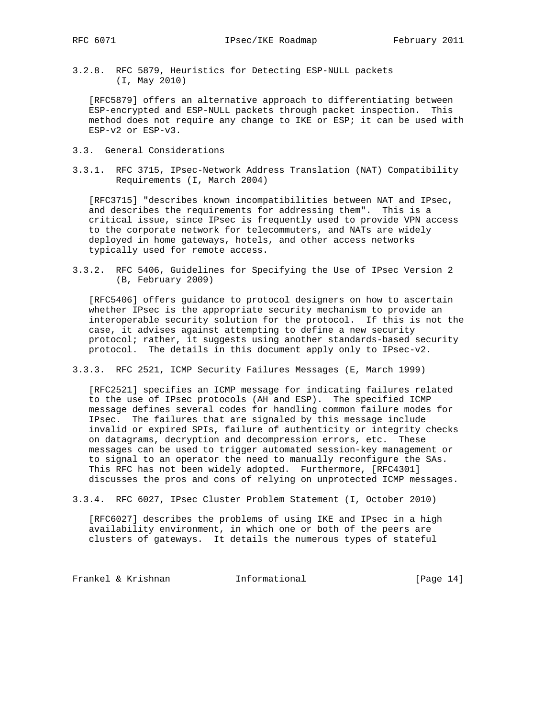3.2.8. RFC 5879, Heuristics for Detecting ESP-NULL packets (I, May 2010)

 [RFC5879] offers an alternative approach to differentiating between ESP-encrypted and ESP-NULL packets through packet inspection. This method does not require any change to IKE or ESP; it can be used with ESP-v2 or ESP-v3.

- 3.3. General Considerations
- 3.3.1. RFC 3715, IPsec-Network Address Translation (NAT) Compatibility Requirements (I, March 2004)

 [RFC3715] "describes known incompatibilities between NAT and IPsec, and describes the requirements for addressing them". This is a critical issue, since IPsec is frequently used to provide VPN access to the corporate network for telecommuters, and NATs are widely deployed in home gateways, hotels, and other access networks typically used for remote access.

3.3.2. RFC 5406, Guidelines for Specifying the Use of IPsec Version 2 (B, February 2009)

 [RFC5406] offers guidance to protocol designers on how to ascertain whether IPsec is the appropriate security mechanism to provide an interoperable security solution for the protocol. If this is not the case, it advises against attempting to define a new security protocol; rather, it suggests using another standards-based security protocol. The details in this document apply only to IPsec-v2.

3.3.3. RFC 2521, ICMP Security Failures Messages (E, March 1999)

 [RFC2521] specifies an ICMP message for indicating failures related to the use of IPsec protocols (AH and ESP). The specified ICMP message defines several codes for handling common failure modes for IPsec. The failures that are signaled by this message include invalid or expired SPIs, failure of authenticity or integrity checks on datagrams, decryption and decompression errors, etc. These messages can be used to trigger automated session-key management or to signal to an operator the need to manually reconfigure the SAs. This RFC has not been widely adopted. Furthermore, [RFC4301] discusses the pros and cons of relying on unprotected ICMP messages.

3.3.4. RFC 6027, IPsec Cluster Problem Statement (I, October 2010)

 [RFC6027] describes the problems of using IKE and IPsec in a high availability environment, in which one or both of the peers are clusters of gateways. It details the numerous types of stateful

Frankel & Krishnan **Informational** [Page 14]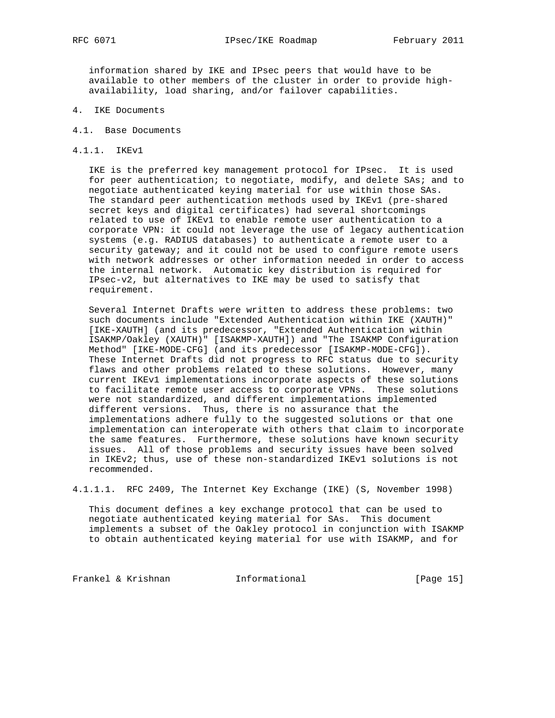information shared by IKE and IPsec peers that would have to be available to other members of the cluster in order to provide high availability, load sharing, and/or failover capabilities.

- 4. IKE Documents
- 4.1. Base Documents
- 4.1.1. IKEv1

 IKE is the preferred key management protocol for IPsec. It is used for peer authentication; to negotiate, modify, and delete SAs; and to negotiate authenticated keying material for use within those SAs. The standard peer authentication methods used by IKEv1 (pre-shared secret keys and digital certificates) had several shortcomings related to use of IKEv1 to enable remote user authentication to a corporate VPN: it could not leverage the use of legacy authentication systems (e.g. RADIUS databases) to authenticate a remote user to a security gateway; and it could not be used to configure remote users with network addresses or other information needed in order to access the internal network. Automatic key distribution is required for IPsec-v2, but alternatives to IKE may be used to satisfy that requirement.

 Several Internet Drafts were written to address these problems: two such documents include "Extended Authentication within IKE (XAUTH)" [IKE-XAUTH] (and its predecessor, "Extended Authentication within ISAKMP/Oakley (XAUTH)" [ISAKMP-XAUTH]) and "The ISAKMP Configuration Method" [IKE-MODE-CFG] (and its predecessor [ISAKMP-MODE-CFG]). These Internet Drafts did not progress to RFC status due to security flaws and other problems related to these solutions. However, many current IKEv1 implementations incorporate aspects of these solutions to facilitate remote user access to corporate VPNs. These solutions were not standardized, and different implementations implemented different versions. Thus, there is no assurance that the implementations adhere fully to the suggested solutions or that one implementation can interoperate with others that claim to incorporate the same features. Furthermore, these solutions have known security issues. All of those problems and security issues have been solved in IKEv2; thus, use of these non-standardized IKEv1 solutions is not recommended.

4.1.1.1. RFC 2409, The Internet Key Exchange (IKE) (S, November 1998)

 This document defines a key exchange protocol that can be used to negotiate authenticated keying material for SAs. This document implements a subset of the Oakley protocol in conjunction with ISAKMP to obtain authenticated keying material for use with ISAKMP, and for

Frankel & Krishnan Manuel Informational (Page 15)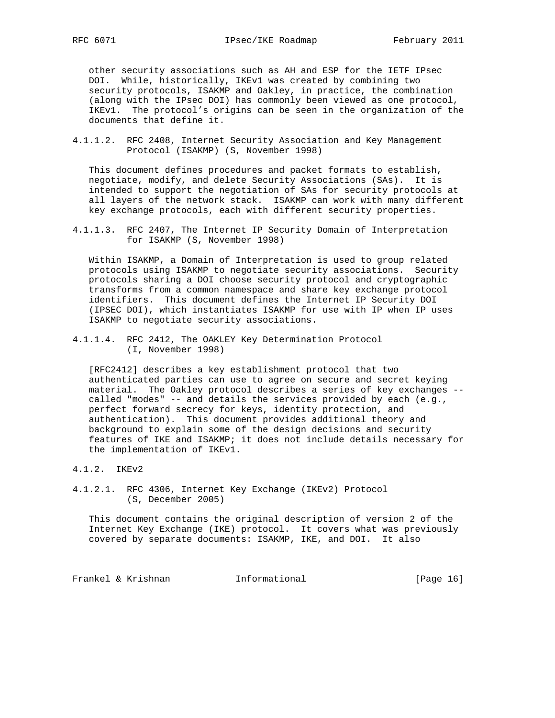other security associations such as AH and ESP for the IETF IPsec DOI. While, historically, IKEv1 was created by combining two security protocols, ISAKMP and Oakley, in practice, the combination (along with the IPsec DOI) has commonly been viewed as one protocol, IKEv1. The protocol's origins can be seen in the organization of the documents that define it.

4.1.1.2. RFC 2408, Internet Security Association and Key Management Protocol (ISAKMP) (S, November 1998)

 This document defines procedures and packet formats to establish, negotiate, modify, and delete Security Associations (SAs). It is intended to support the negotiation of SAs for security protocols at all layers of the network stack. ISAKMP can work with many different key exchange protocols, each with different security properties.

4.1.1.3. RFC 2407, The Internet IP Security Domain of Interpretation for ISAKMP (S, November 1998)

 Within ISAKMP, a Domain of Interpretation is used to group related protocols using ISAKMP to negotiate security associations. Security protocols sharing a DOI choose security protocol and cryptographic transforms from a common namespace and share key exchange protocol identifiers. This document defines the Internet IP Security DOI (IPSEC DOI), which instantiates ISAKMP for use with IP when IP uses ISAKMP to negotiate security associations.

4.1.1.4. RFC 2412, The OAKLEY Key Determination Protocol (I, November 1998)

 [RFC2412] describes a key establishment protocol that two authenticated parties can use to agree on secure and secret keying material. The Oakley protocol describes a series of key exchanges - called "modes" -- and details the services provided by each (e.g., perfect forward secrecy for keys, identity protection, and authentication). This document provides additional theory and background to explain some of the design decisions and security features of IKE and ISAKMP; it does not include details necessary for the implementation of IKEv1.

- 4.1.2. IKEv2
- 4.1.2.1. RFC 4306, Internet Key Exchange (IKEv2) Protocol (S, December 2005)

 This document contains the original description of version 2 of the Internet Key Exchange (IKE) protocol. It covers what was previously covered by separate documents: ISAKMP, IKE, and DOI. It also

Frankel & Krishnan Manuel Informational (Page 16)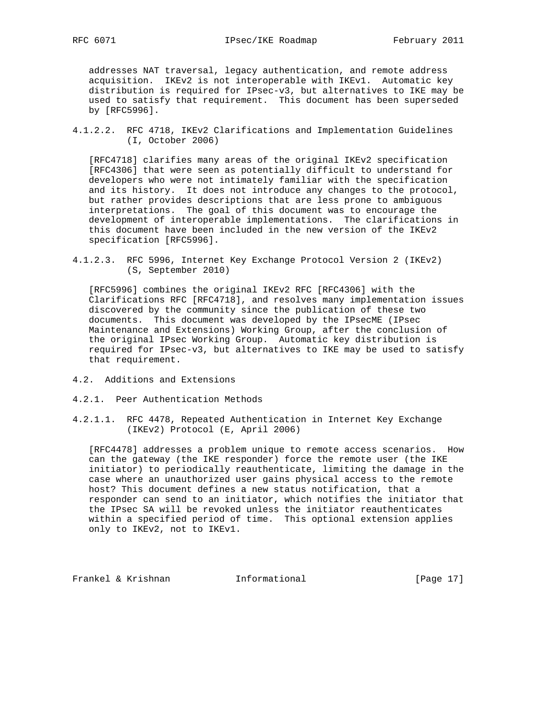addresses NAT traversal, legacy authentication, and remote address acquisition. IKEv2 is not interoperable with IKEv1. Automatic key distribution is required for IPsec-v3, but alternatives to IKE may be used to satisfy that requirement. This document has been superseded by [RFC5996].

4.1.2.2. RFC 4718, IKEv2 Clarifications and Implementation Guidelines (I, October 2006)

 [RFC4718] clarifies many areas of the original IKEv2 specification [RFC4306] that were seen as potentially difficult to understand for developers who were not intimately familiar with the specification and its history. It does not introduce any changes to the protocol, but rather provides descriptions that are less prone to ambiguous interpretations. The goal of this document was to encourage the development of interoperable implementations. The clarifications in this document have been included in the new version of the IKEv2 specification [RFC5996].

4.1.2.3. RFC 5996, Internet Key Exchange Protocol Version 2 (IKEv2) (S, September 2010)

 [RFC5996] combines the original IKEv2 RFC [RFC4306] with the Clarifications RFC [RFC4718], and resolves many implementation issues discovered by the community since the publication of these two documents. This document was developed by the IPsecME (IPsec Maintenance and Extensions) Working Group, after the conclusion of the original IPsec Working Group. Automatic key distribution is required for IPsec-v3, but alternatives to IKE may be used to satisfy that requirement.

- 4.2. Additions and Extensions
- 4.2.1. Peer Authentication Methods
- 4.2.1.1. RFC 4478, Repeated Authentication in Internet Key Exchange (IKEv2) Protocol (E, April 2006)

 [RFC4478] addresses a problem unique to remote access scenarios. How can the gateway (the IKE responder) force the remote user (the IKE initiator) to periodically reauthenticate, limiting the damage in the case where an unauthorized user gains physical access to the remote host? This document defines a new status notification, that a responder can send to an initiator, which notifies the initiator that the IPsec SA will be revoked unless the initiator reauthenticates within a specified period of time. This optional extension applies only to IKEv2, not to IKEv1.

Frankel & Krishnan 1nformational [Page 17]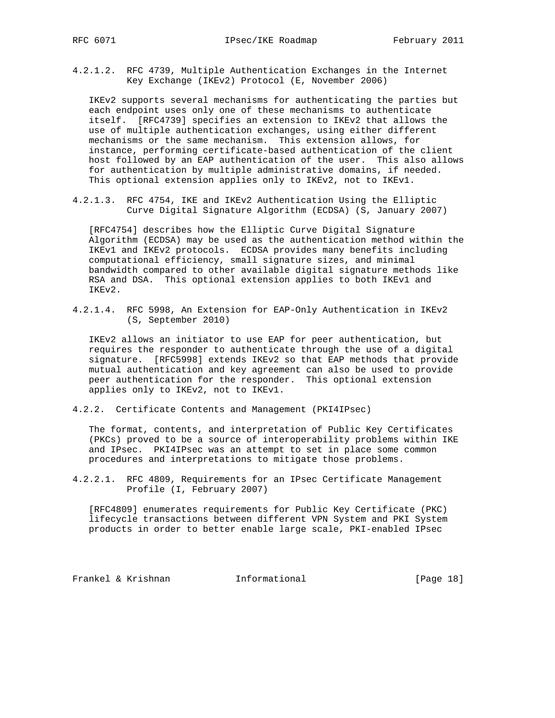4.2.1.2. RFC 4739, Multiple Authentication Exchanges in the Internet Key Exchange (IKEv2) Protocol (E, November 2006)

 IKEv2 supports several mechanisms for authenticating the parties but each endpoint uses only one of these mechanisms to authenticate itself. [RFC4739] specifies an extension to IKEv2 that allows the use of multiple authentication exchanges, using either different mechanisms or the same mechanism. This extension allows, for instance, performing certificate-based authentication of the client host followed by an EAP authentication of the user. This also allows for authentication by multiple administrative domains, if needed. This optional extension applies only to IKEv2, not to IKEv1.

4.2.1.3. RFC 4754, IKE and IKEv2 Authentication Using the Elliptic Curve Digital Signature Algorithm (ECDSA) (S, January 2007)

 [RFC4754] describes how the Elliptic Curve Digital Signature Algorithm (ECDSA) may be used as the authentication method within the IKEv1 and IKEv2 protocols. ECDSA provides many benefits including computational efficiency, small signature sizes, and minimal bandwidth compared to other available digital signature methods like RSA and DSA. This optional extension applies to both IKEv1 and IKEv2.

4.2.1.4. RFC 5998, An Extension for EAP-Only Authentication in IKEv2 (S, September 2010)

 IKEv2 allows an initiator to use EAP for peer authentication, but requires the responder to authenticate through the use of a digital signature. [RFC5998] extends IKEv2 so that EAP methods that provide mutual authentication and key agreement can also be used to provide peer authentication for the responder. This optional extension applies only to IKEv2, not to IKEv1.

4.2.2. Certificate Contents and Management (PKI4IPsec)

 The format, contents, and interpretation of Public Key Certificates (PKCs) proved to be a source of interoperability problems within IKE and IPsec. PKI4IPsec was an attempt to set in place some common procedures and interpretations to mitigate those problems.

4.2.2.1. RFC 4809, Requirements for an IPsec Certificate Management Profile (I, February 2007)

 [RFC4809] enumerates requirements for Public Key Certificate (PKC) lifecycle transactions between different VPN System and PKI System products in order to better enable large scale, PKI-enabled IPsec

Frankel & Krishnan 11 Informational [Page 18]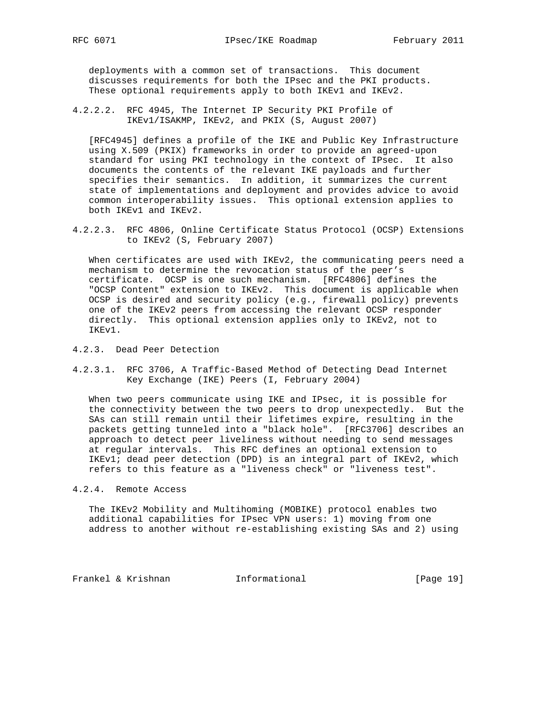deployments with a common set of transactions. This document discusses requirements for both the IPsec and the PKI products. These optional requirements apply to both IKEv1 and IKEv2.

4.2.2.2. RFC 4945, The Internet IP Security PKI Profile of IKEv1/ISAKMP, IKEv2, and PKIX (S, August 2007)

 [RFC4945] defines a profile of the IKE and Public Key Infrastructure using X.509 (PKIX) frameworks in order to provide an agreed-upon standard for using PKI technology in the context of IPsec. It also documents the contents of the relevant IKE payloads and further specifies their semantics. In addition, it summarizes the current state of implementations and deployment and provides advice to avoid common interoperability issues. This optional extension applies to both IKEv1 and IKEv2.

4.2.2.3. RFC 4806, Online Certificate Status Protocol (OCSP) Extensions to IKEv2 (S, February 2007)

 When certificates are used with IKEv2, the communicating peers need a mechanism to determine the revocation status of the peer's certificate. OCSP is one such mechanism. [RFC4806] defines the "OCSP Content" extension to IKEv2. This document is applicable when OCSP is desired and security policy (e.g., firewall policy) prevents one of the IKEv2 peers from accessing the relevant OCSP responder directly. This optional extension applies only to IKEv2, not to IKEv1.

- 4.2.3. Dead Peer Detection
- 4.2.3.1. RFC 3706, A Traffic-Based Method of Detecting Dead Internet Key Exchange (IKE) Peers (I, February 2004)

 When two peers communicate using IKE and IPsec, it is possible for the connectivity between the two peers to drop unexpectedly. But the SAs can still remain until their lifetimes expire, resulting in the packets getting tunneled into a "black hole". [RFC3706] describes an approach to detect peer liveliness without needing to send messages at regular intervals. This RFC defines an optional extension to IKEv1; dead peer detection (DPD) is an integral part of IKEv2, which refers to this feature as a "liveness check" or "liveness test".

4.2.4. Remote Access

 The IKEv2 Mobility and Multihoming (MOBIKE) protocol enables two additional capabilities for IPsec VPN users: 1) moving from one address to another without re-establishing existing SAs and 2) using

Frankel & Krishnan Manuel Informational [Page 19]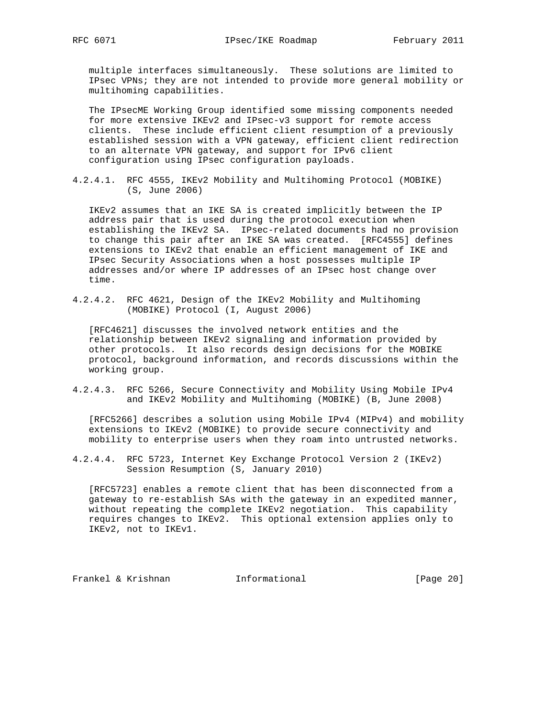multiple interfaces simultaneously. These solutions are limited to IPsec VPNs; they are not intended to provide more general mobility or multihoming capabilities.

 The IPsecME Working Group identified some missing components needed for more extensive IKEv2 and IPsec-v3 support for remote access clients. These include efficient client resumption of a previously established session with a VPN gateway, efficient client redirection to an alternate VPN gateway, and support for IPv6 client configuration using IPsec configuration payloads.

4.2.4.1. RFC 4555, IKEv2 Mobility and Multihoming Protocol (MOBIKE) (S, June 2006)

 IKEv2 assumes that an IKE SA is created implicitly between the IP address pair that is used during the protocol execution when establishing the IKEv2 SA. IPsec-related documents had no provision to change this pair after an IKE SA was created. [RFC4555] defines extensions to IKEv2 that enable an efficient management of IKE and IPsec Security Associations when a host possesses multiple IP addresses and/or where IP addresses of an IPsec host change over time.

4.2.4.2. RFC 4621, Design of the IKEv2 Mobility and Multihoming (MOBIKE) Protocol (I, August 2006)

 [RFC4621] discusses the involved network entities and the relationship between IKEv2 signaling and information provided by other protocols. It also records design decisions for the MOBIKE protocol, background information, and records discussions within the working group.

4.2.4.3. RFC 5266, Secure Connectivity and Mobility Using Mobile IPv4 and IKEv2 Mobility and Multihoming (MOBIKE) (B, June 2008)

 [RFC5266] describes a solution using Mobile IPv4 (MIPv4) and mobility extensions to IKEv2 (MOBIKE) to provide secure connectivity and mobility to enterprise users when they roam into untrusted networks.

4.2.4.4. RFC 5723, Internet Key Exchange Protocol Version 2 (IKEv2) Session Resumption (S, January 2010)

 [RFC5723] enables a remote client that has been disconnected from a gateway to re-establish SAs with the gateway in an expedited manner, without repeating the complete IKEv2 negotiation. This capability requires changes to IKEv2. This optional extension applies only to IKEv2, not to IKEv1.

Frankel & Krishnan **Informational** [Page 20]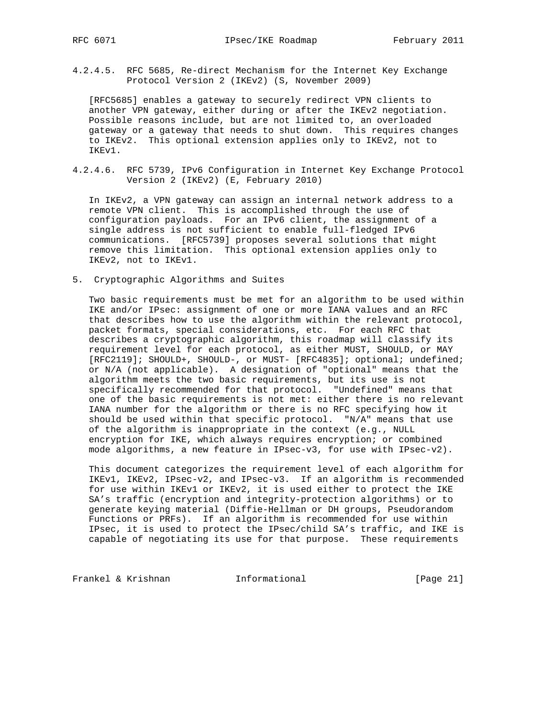4.2.4.5. RFC 5685, Re-direct Mechanism for the Internet Key Exchange Protocol Version 2 (IKEv2) (S, November 2009)

 [RFC5685] enables a gateway to securely redirect VPN clients to another VPN gateway, either during or after the IKEv2 negotiation. Possible reasons include, but are not limited to, an overloaded gateway or a gateway that needs to shut down. This requires changes to IKEv2. This optional extension applies only to IKEv2, not to IKEv1.

4.2.4.6. RFC 5739, IPv6 Configuration in Internet Key Exchange Protocol Version 2 (IKEv2) (E, February 2010)

 In IKEv2, a VPN gateway can assign an internal network address to a remote VPN client. This is accomplished through the use of configuration payloads. For an IPv6 client, the assignment of a single address is not sufficient to enable full-fledged IPv6 communications. [RFC5739] proposes several solutions that might remove this limitation. This optional extension applies only to IKEv2, not to IKEv1.

5. Cryptographic Algorithms and Suites

 Two basic requirements must be met for an algorithm to be used within IKE and/or IPsec: assignment of one or more IANA values and an RFC that describes how to use the algorithm within the relevant protocol, packet formats, special considerations, etc. For each RFC that describes a cryptographic algorithm, this roadmap will classify its requirement level for each protocol, as either MUST, SHOULD, or MAY [RFC2119]; SHOULD+, SHOULD-, or MUST- [RFC4835]; optional; undefined; or N/A (not applicable). A designation of "optional" means that the algorithm meets the two basic requirements, but its use is not specifically recommended for that protocol. "Undefined" means that one of the basic requirements is not met: either there is no relevant IANA number for the algorithm or there is no RFC specifying how it should be used within that specific protocol. "N/A" means that use of the algorithm is inappropriate in the context (e.g., NULL encryption for IKE, which always requires encryption; or combined mode algorithms, a new feature in IPsec-v3, for use with IPsec-v2).

 This document categorizes the requirement level of each algorithm for IKEv1, IKEv2, IPsec-v2, and IPsec-v3. If an algorithm is recommended for use within IKEv1 or IKEv2, it is used either to protect the IKE SA's traffic (encryption and integrity-protection algorithms) or to generate keying material (Diffie-Hellman or DH groups, Pseudorandom Functions or PRFs). If an algorithm is recommended for use within IPsec, it is used to protect the IPsec/child SA's traffic, and IKE is capable of negotiating its use for that purpose. These requirements

Frankel & Krishnan **Informational** [Page 21]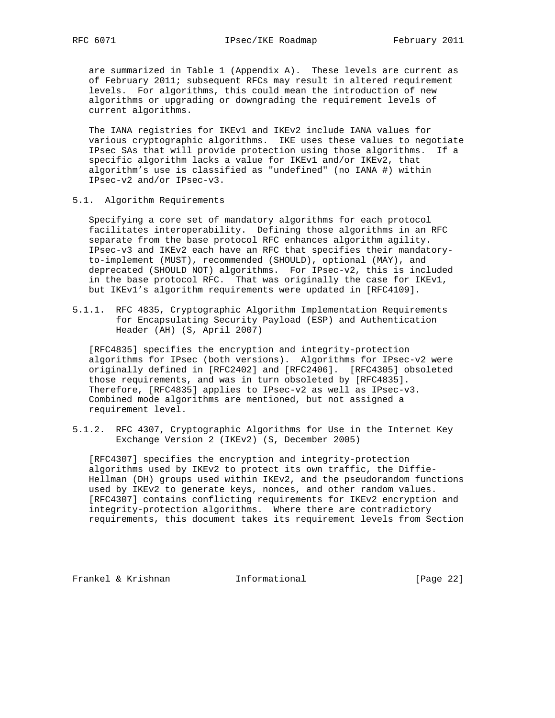are summarized in Table 1 (Appendix A). These levels are current as of February 2011; subsequent RFCs may result in altered requirement levels. For algorithms, this could mean the introduction of new algorithms or upgrading or downgrading the requirement levels of current algorithms.

 The IANA registries for IKEv1 and IKEv2 include IANA values for various cryptographic algorithms. IKE uses these values to negotiate IPsec SAs that will provide protection using those algorithms. If a specific algorithm lacks a value for IKEv1 and/or IKEv2, that algorithm's use is classified as "undefined" (no IANA #) within IPsec-v2 and/or IPsec-v3.

5.1. Algorithm Requirements

 Specifying a core set of mandatory algorithms for each protocol facilitates interoperability. Defining those algorithms in an RFC separate from the base protocol RFC enhances algorithm agility. IPsec-v3 and IKEv2 each have an RFC that specifies their mandatory to-implement (MUST), recommended (SHOULD), optional (MAY), and deprecated (SHOULD NOT) algorithms. For IPsec-v2, this is included in the base protocol RFC. That was originally the case for IKEv1, but IKEv1's algorithm requirements were updated in [RFC4109].

5.1.1. RFC 4835, Cryptographic Algorithm Implementation Requirements for Encapsulating Security Payload (ESP) and Authentication Header (AH) (S, April 2007)

 [RFC4835] specifies the encryption and integrity-protection algorithms for IPsec (both versions). Algorithms for IPsec-v2 were originally defined in [RFC2402] and [RFC2406]. [RFC4305] obsoleted those requirements, and was in turn obsoleted by [RFC4835]. Therefore, [RFC4835] applies to IPsec-v2 as well as IPsec-v3. Combined mode algorithms are mentioned, but not assigned a requirement level.

5.1.2. RFC 4307, Cryptographic Algorithms for Use in the Internet Key Exchange Version 2 (IKEv2) (S, December 2005)

 [RFC4307] specifies the encryption and integrity-protection algorithms used by IKEv2 to protect its own traffic, the Diffie- Hellman (DH) groups used within IKEv2, and the pseudorandom functions used by IKEv2 to generate keys, nonces, and other random values. [RFC4307] contains conflicting requirements for IKEv2 encryption and integrity-protection algorithms. Where there are contradictory requirements, this document takes its requirement levels from Section

Frankel & Krishnan **Informational** [Page 22]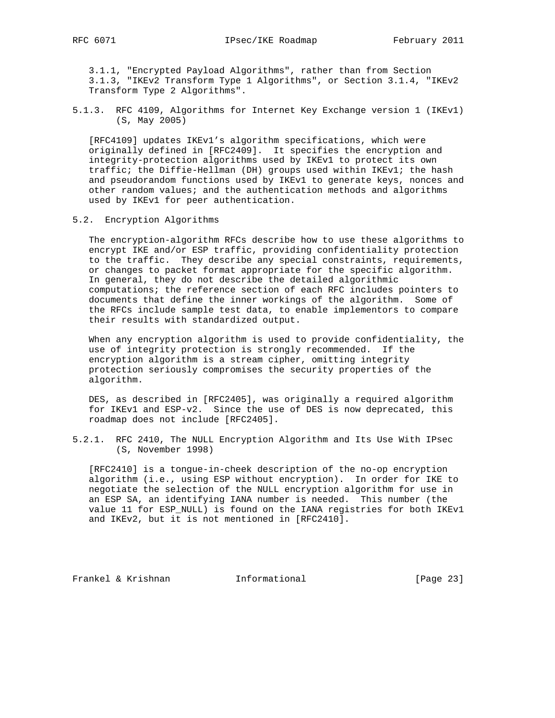3.1.1, "Encrypted Payload Algorithms", rather than from Section 3.1.3, "IKEv2 Transform Type 1 Algorithms", or Section 3.1.4, "IKEv2 Transform Type 2 Algorithms".

5.1.3. RFC 4109, Algorithms for Internet Key Exchange version 1 (IKEv1) (S, May 2005)

 [RFC4109] updates IKEv1's algorithm specifications, which were originally defined in [RFC2409]. It specifies the encryption and integrity-protection algorithms used by IKEv1 to protect its own traffic; the Diffie-Hellman (DH) groups used within IKEv1; the hash and pseudorandom functions used by IKEv1 to generate keys, nonces and other random values; and the authentication methods and algorithms used by IKEv1 for peer authentication.

5.2. Encryption Algorithms

 The encryption-algorithm RFCs describe how to use these algorithms to encrypt IKE and/or ESP traffic, providing confidentiality protection to the traffic. They describe any special constraints, requirements, or changes to packet format appropriate for the specific algorithm. In general, they do not describe the detailed algorithmic computations; the reference section of each RFC includes pointers to documents that define the inner workings of the algorithm. Some of the RFCs include sample test data, to enable implementors to compare their results with standardized output.

 When any encryption algorithm is used to provide confidentiality, the use of integrity protection is strongly recommended. If the encryption algorithm is a stream cipher, omitting integrity protection seriously compromises the security properties of the algorithm.

 DES, as described in [RFC2405], was originally a required algorithm for IKEv1 and ESP-v2. Since the use of DES is now deprecated, this roadmap does not include [RFC2405].

5.2.1. RFC 2410, The NULL Encryption Algorithm and Its Use With IPsec (S, November 1998)

 [RFC2410] is a tongue-in-cheek description of the no-op encryption algorithm (i.e., using ESP without encryption). In order for IKE to negotiate the selection of the NULL encryption algorithm for use in an ESP SA, an identifying IANA number is needed. This number (the value 11 for ESP\_NULL) is found on the IANA registries for both IKEv1 and IKEv2, but it is not mentioned in [RFC2410].

Frankel & Krishnan **Informational** [Page 23]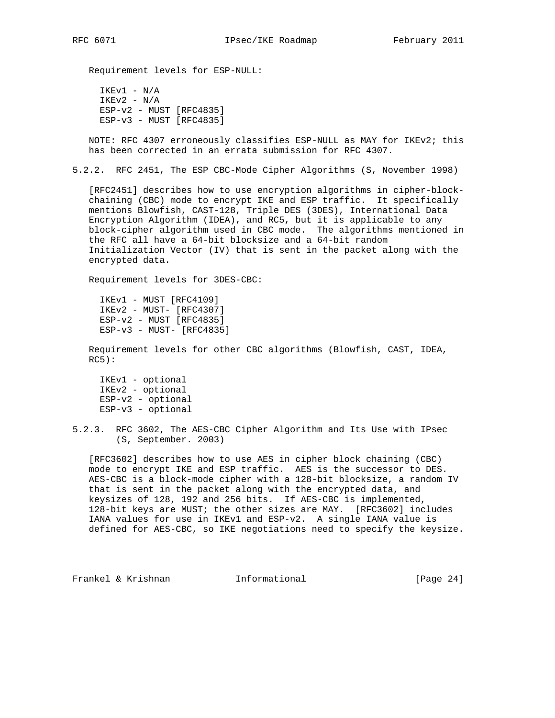Requirement levels for ESP-NULL:

 IKEv1 - N/A  $IKEv2 - N/A$  ESP-v2 - MUST [RFC4835]  $ESP-v3 - MUST [RFC4835]$ 

 NOTE: RFC 4307 erroneously classifies ESP-NULL as MAY for IKEv2; this has been corrected in an errata submission for RFC 4307.

5.2.2. RFC 2451, The ESP CBC-Mode Cipher Algorithms (S, November 1998)

 [RFC2451] describes how to use encryption algorithms in cipher-block chaining (CBC) mode to encrypt IKE and ESP traffic. It specifically mentions Blowfish, CAST-128, Triple DES (3DES), International Data Encryption Algorithm (IDEA), and RC5, but it is applicable to any block-cipher algorithm used in CBC mode. The algorithms mentioned in the RFC all have a 64-bit blocksize and a 64-bit random Initialization Vector (IV) that is sent in the packet along with the encrypted data.

Requirement levels for 3DES-CBC:

 IKEv1 - MUST [RFC4109] IKEv2 - MUST- [RFC4307] ESP-v2 - MUST [RFC4835] ESP-v3 - MUST- [RFC4835]

 Requirement levels for other CBC algorithms (Blowfish, CAST, IDEA,  $RC5$ ):

 IKEv1 - optional IKEv2 - optional ESP-v2 - optional ESP-v3 - optional

 [RFC3602] describes how to use AES in cipher block chaining (CBC) mode to encrypt IKE and ESP traffic. AES is the successor to DES. AES-CBC is a block-mode cipher with a 128-bit blocksize, a random IV that is sent in the packet along with the encrypted data, and keysizes of 128, 192 and 256 bits. If AES-CBC is implemented, 128-bit keys are MUST; the other sizes are MAY. [RFC3602] includes IANA values for use in IKEv1 and ESP-v2. A single IANA value is defined for AES-CBC, so IKE negotiations need to specify the keysize.

Frankel & Krishnan **Informational** [Page 24]

<sup>5.2.3.</sup> RFC 3602, The AES-CBC Cipher Algorithm and Its Use with IPsec (S, September. 2003)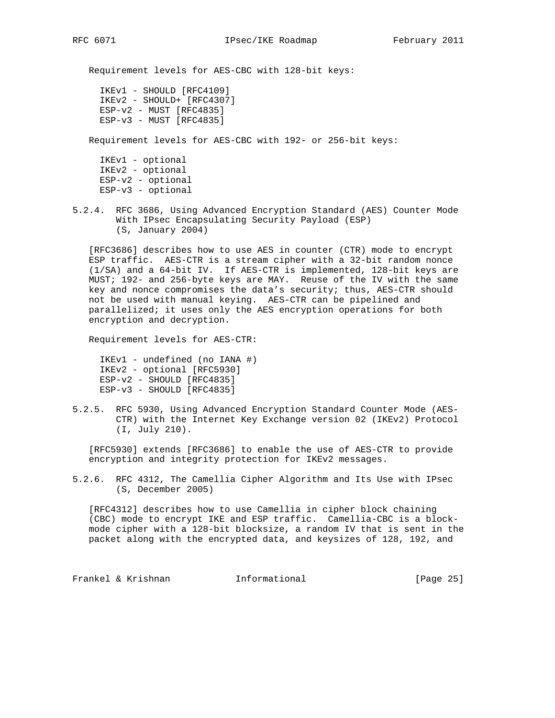Requirement levels for AES-CBC with 128-bit keys:

```
 IKEv1 - SHOULD [RFC4109]
 IKEv2 - SHOULD+ [RFC4307]
 ESP-v2 - MUST [RFC4835]
 ESP-v3 - MUST [RFC4835]
```
Requirement levels for AES-CBC with 192- or 256-bit keys:

 IKEv1 - optional IKEv2 - optional ESP-v2 - optional ESP-v3 - optional

5.2.4. RFC 3686, Using Advanced Encryption Standard (AES) Counter Mode With IPsec Encapsulating Security Payload (ESP) (S, January 2004)

 [RFC3686] describes how to use AES in counter (CTR) mode to encrypt ESP traffic. AES-CTR is a stream cipher with a 32-bit random nonce (1/SA) and a 64-bit IV. If AES-CTR is implemented, 128-bit keys are MUST; 192- and 256-byte keys are MAY. Reuse of the IV with the same key and nonce compromises the data's security; thus, AES-CTR should not be used with manual keying. AES-CTR can be pipelined and parallelized; it uses only the AES encryption operations for both encryption and decryption.

Requirement levels for AES-CTR:

 IKEv1 - undefined (no IANA #) IKEv2 - optional [RFC5930] ESP-v2 - SHOULD [RFC4835] ESP-v3 - SHOULD [RFC4835]

5.2.5. RFC 5930, Using Advanced Encryption Standard Counter Mode (AES- CTR) with the Internet Key Exchange version 02 (IKEv2) Protocol (I, July 210).

 [RFC5930] extends [RFC3686] to enable the use of AES-CTR to provide encryption and integrity protection for IKEv2 messages.

5.2.6. RFC 4312, The Camellia Cipher Algorithm and Its Use with IPsec (S, December 2005)

 [RFC4312] describes how to use Camellia in cipher block chaining (CBC) mode to encrypt IKE and ESP traffic. Camellia-CBC is a block mode cipher with a 128-bit blocksize, a random IV that is sent in the packet along with the encrypted data, and keysizes of 128, 192, and

Frankel & Krishnan Thformational [Page 25]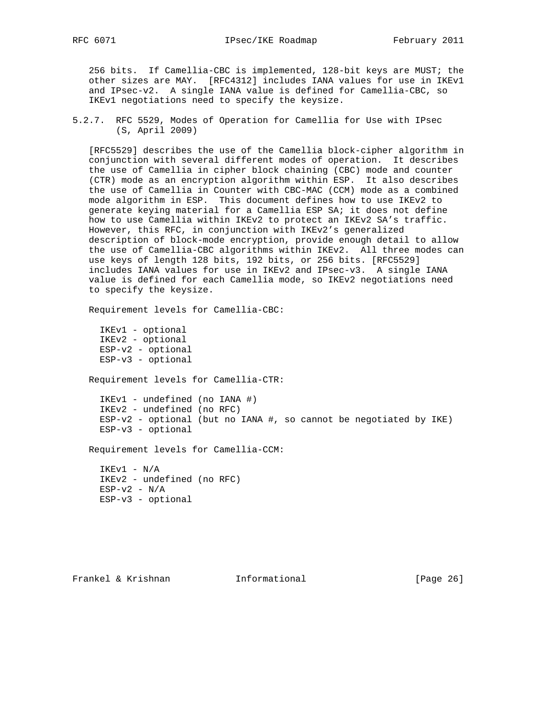256 bits. If Camellia-CBC is implemented, 128-bit keys are MUST; the other sizes are MAY. [RFC4312] includes IANA values for use in IKEv1 and IPsec-v2. A single IANA value is defined for Camellia-CBC, so IKEv1 negotiations need to specify the keysize.

5.2.7. RFC 5529, Modes of Operation for Camellia for Use with IPsec (S, April 2009)

 [RFC5529] describes the use of the Camellia block-cipher algorithm in conjunction with several different modes of operation. It describes the use of Camellia in cipher block chaining (CBC) mode and counter (CTR) mode as an encryption algorithm within ESP. It also describes the use of Camellia in Counter with CBC-MAC (CCM) mode as a combined mode algorithm in ESP. This document defines how to use IKEv2 to generate keying material for a Camellia ESP SA; it does not define how to use Camellia within IKEv2 to protect an IKEv2 SA's traffic. However, this RFC, in conjunction with IKEv2's generalized description of block-mode encryption, provide enough detail to allow the use of Camellia-CBC algorithms within IKEv2. All three modes can use keys of length 128 bits, 192 bits, or 256 bits. [RFC5529] includes IANA values for use in IKEv2 and IPsec-v3. A single IANA value is defined for each Camellia mode, so IKEv2 negotiations need to specify the keysize.

Requirement levels for Camellia-CBC:

 IKEv1 - optional IKEv2 - optional ESP-v2 - optional ESP-v3 - optional

Requirement levels for Camellia-CTR:

 IKEv1 - undefined (no IANA #) IKEv2 - undefined (no RFC)  $ESP-v2$  - optional (but no IANA #, so cannot be negotiated by IKE) ESP-v3 - optional

Requirement levels for Camellia-CCM:

 IKEv1 - N/A IKEv2 - undefined (no RFC)  $ESP-v2 - N/A$ ESP-v3 - optional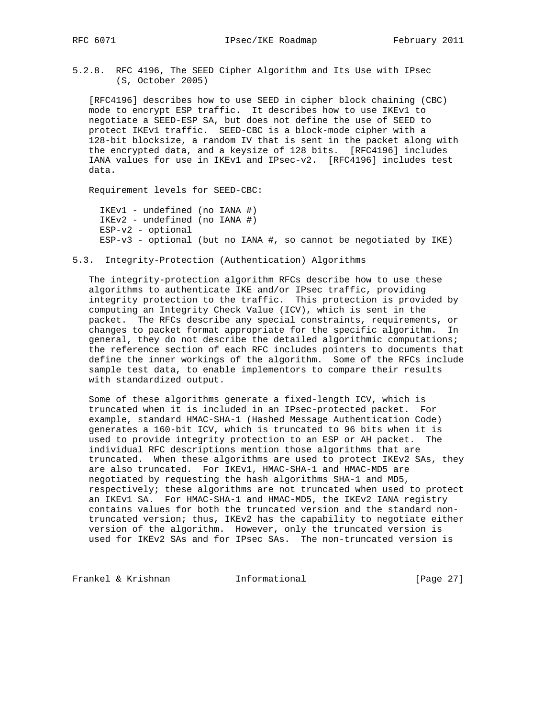5.2.8. RFC 4196, The SEED Cipher Algorithm and Its Use with IPsec (S, October 2005)

 [RFC4196] describes how to use SEED in cipher block chaining (CBC) mode to encrypt ESP traffic. It describes how to use IKEv1 to negotiate a SEED-ESP SA, but does not define the use of SEED to protect IKEv1 traffic. SEED-CBC is a block-mode cipher with a 128-bit blocksize, a random IV that is sent in the packet along with the encrypted data, and a keysize of 128 bits. [RFC4196] includes IANA values for use in IKEv1 and IPsec-v2. [RFC4196] includes test data.

Requirement levels for SEED-CBC:

 IKEv1 - undefined (no IANA #) IKEv2 - undefined (no IANA #) ESP-v2 - optional  $ESP-v3 - optional$  (but no IANA #, so cannot be negotiated by IKE)

5.3. Integrity-Protection (Authentication) Algorithms

 The integrity-protection algorithm RFCs describe how to use these algorithms to authenticate IKE and/or IPsec traffic, providing integrity protection to the traffic. This protection is provided by computing an Integrity Check Value (ICV), which is sent in the packet. The RFCs describe any special constraints, requirements, or changes to packet format appropriate for the specific algorithm. In general, they do not describe the detailed algorithmic computations; the reference section of each RFC includes pointers to documents that define the inner workings of the algorithm. Some of the RFCs include sample test data, to enable implementors to compare their results with standardized output.

 Some of these algorithms generate a fixed-length ICV, which is truncated when it is included in an IPsec-protected packet. For example, standard HMAC-SHA-1 (Hashed Message Authentication Code) generates a 160-bit ICV, which is truncated to 96 bits when it is used to provide integrity protection to an ESP or AH packet. The individual RFC descriptions mention those algorithms that are truncated. When these algorithms are used to protect IKEv2 SAs, they are also truncated. For IKEv1, HMAC-SHA-1 and HMAC-MD5 are negotiated by requesting the hash algorithms SHA-1 and MD5, respectively; these algorithms are not truncated when used to protect an IKEv1 SA. For HMAC-SHA-1 and HMAC-MD5, the IKEv2 IANA registry contains values for both the truncated version and the standard non truncated version; thus, IKEv2 has the capability to negotiate either version of the algorithm. However, only the truncated version is used for IKEv2 SAs and for IPsec SAs. The non-truncated version is

Frankel & Krishnan **Informational** [Page 27]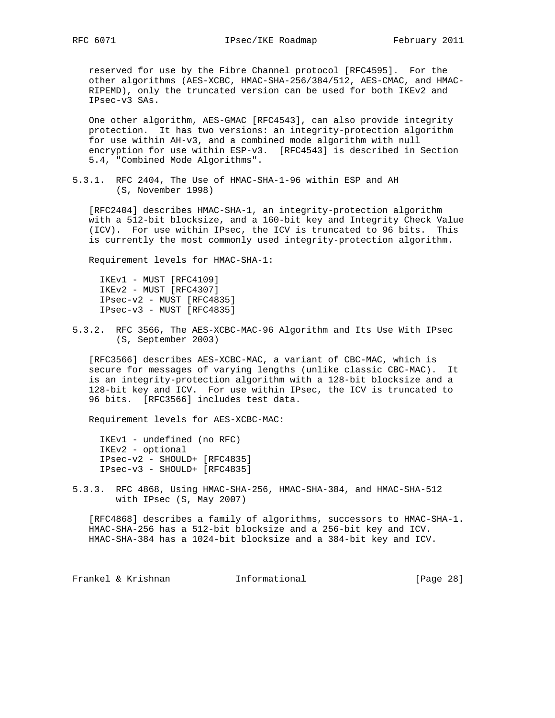reserved for use by the Fibre Channel protocol [RFC4595]. For the other algorithms (AES-XCBC, HMAC-SHA-256/384/512, AES-CMAC, and HMAC- RIPEMD), only the truncated version can be used for both IKEv2 and IPsec-v3 SAs.

 One other algorithm, AES-GMAC [RFC4543], can also provide integrity protection. It has two versions: an integrity-protection algorithm for use within AH-v3, and a combined mode algorithm with null encryption for use within ESP-v3. [RFC4543] is described in Section 5.4, "Combined Mode Algorithms".

5.3.1. RFC 2404, The Use of HMAC-SHA-1-96 within ESP and AH (S, November 1998)

 [RFC2404] describes HMAC-SHA-1, an integrity-protection algorithm with a 512-bit blocksize, and a 160-bit key and Integrity Check Value (ICV). For use within IPsec, the ICV is truncated to 96 bits. This is currently the most commonly used integrity-protection algorithm.

Requirement levels for HMAC-SHA-1:

 IKEv1 - MUST [RFC4109] IKEv2 - MUST [RFC4307] IPsec-v2 - MUST [RFC4835] IPsec-v3 - MUST [RFC4835]

5.3.2. RFC 3566, The AES-XCBC-MAC-96 Algorithm and Its Use With IPsec (S, September 2003)

 [RFC3566] describes AES-XCBC-MAC, a variant of CBC-MAC, which is secure for messages of varying lengths (unlike classic CBC-MAC). It is an integrity-protection algorithm with a 128-bit blocksize and a 128-bit key and ICV. For use within IPsec, the ICV is truncated to 96 bits. [RFC3566] includes test data.

Requirement levels for AES-XCBC-MAC:

 IKEv1 - undefined (no RFC) IKEv2 - optional IPsec-v2 - SHOULD+ [RFC4835] IPsec-v3 - SHOULD+ [RFC4835]

5.3.3. RFC 4868, Using HMAC-SHA-256, HMAC-SHA-384, and HMAC-SHA-512 with IPsec (S, May 2007)

 [RFC4868] describes a family of algorithms, successors to HMAC-SHA-1. HMAC-SHA-256 has a 512-bit blocksize and a 256-bit key and ICV. HMAC-SHA-384 has a 1024-bit blocksize and a 384-bit key and ICV.

Frankel & Krishnan **Informational** [Page 28]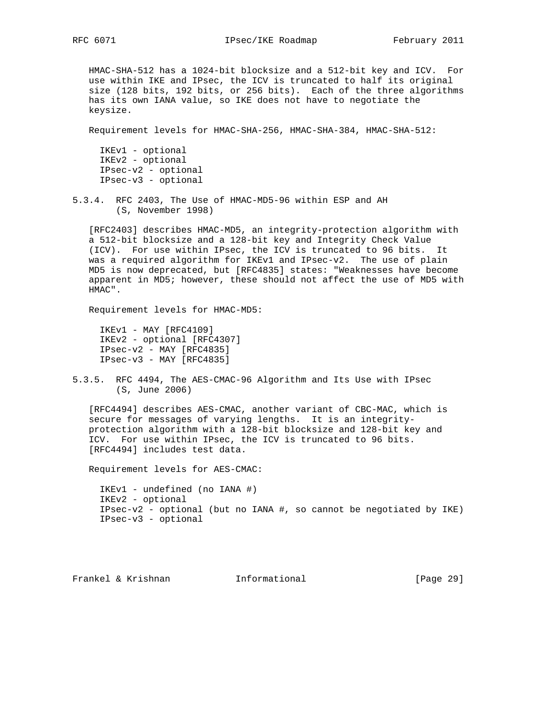HMAC-SHA-512 has a 1024-bit blocksize and a 512-bit key and ICV. For use within IKE and IPsec, the ICV is truncated to half its original size (128 bits, 192 bits, or 256 bits). Each of the three algorithms has its own IANA value, so IKE does not have to negotiate the keysize.

Requirement levels for HMAC-SHA-256, HMAC-SHA-384, HMAC-SHA-512:

 IKEv1 - optional IKEv2 - optional IPsec-v2 - optional IPsec-v3 - optional

5.3.4. RFC 2403, The Use of HMAC-MD5-96 within ESP and AH (S, November 1998)

 [RFC2403] describes HMAC-MD5, an integrity-protection algorithm with a 512-bit blocksize and a 128-bit key and Integrity Check Value (ICV). For use within IPsec, the ICV is truncated to 96 bits. It was a required algorithm for IKEv1 and IPsec-v2. The use of plain MD5 is now deprecated, but [RFC4835] states: "Weaknesses have become apparent in MD5; however, these should not affect the use of MD5 with HMAC".

Requirement levels for HMAC-MD5:

 IKEv1 - MAY [RFC4109] IKEv2 - optional [RFC4307] IPsec-v2 - MAY [RFC4835] IPsec-v3 - MAY [RFC4835]

5.3.5. RFC 4494, The AES-CMAC-96 Algorithm and Its Use with IPsec (S, June 2006)

 [RFC4494] describes AES-CMAC, another variant of CBC-MAC, which is secure for messages of varying lengths. It is an integrity protection algorithm with a 128-bit blocksize and 128-bit key and ICV. For use within IPsec, the ICV is truncated to 96 bits. [RFC4494] includes test data.

Requirement levels for AES-CMAC:

 IKEv1 - undefined (no IANA #) IKEv2 - optional IPsec-v2 - optional (but no IANA #, so cannot be negotiated by IKE) IPsec-v3 - optional

Frankel & Krishnan Informational [Page 29]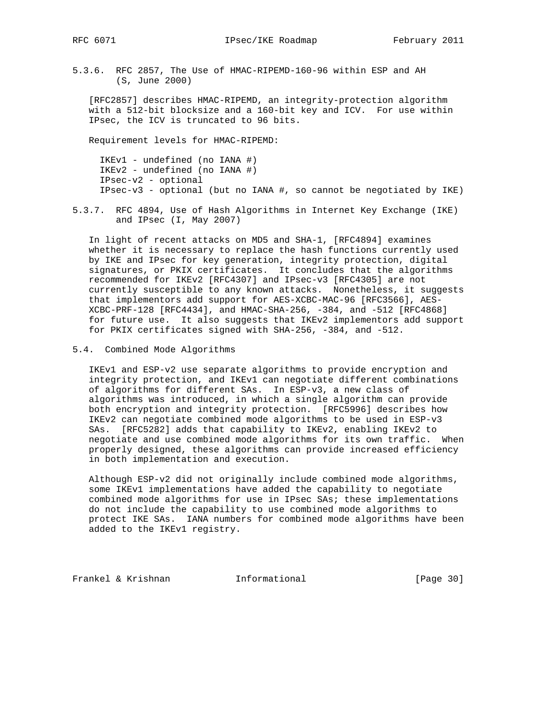RFC 6071 **IPsec/IKE Roadmap** February 2011

5.3.6. RFC 2857, The Use of HMAC-RIPEMD-160-96 within ESP and AH (S, June 2000)

 [RFC2857] describes HMAC-RIPEMD, an integrity-protection algorithm with a 512-bit blocksize and a 160-bit key and ICV. For use within IPsec, the ICV is truncated to 96 bits.

Requirement levels for HMAC-RIPEMD:

 IKEv1 - undefined (no IANA #) IKEv2 - undefined (no IANA #) IPsec-v2 - optional IPsec-v3 - optional (but no IANA #, so cannot be negotiated by IKE)

5.3.7. RFC 4894, Use of Hash Algorithms in Internet Key Exchange (IKE) and IPsec (I, May 2007)

 In light of recent attacks on MD5 and SHA-1, [RFC4894] examines whether it is necessary to replace the hash functions currently used by IKE and IPsec for key generation, integrity protection, digital signatures, or PKIX certificates. It concludes that the algorithms recommended for IKEv2 [RFC4307] and IPsec-v3 [RFC4305] are not currently susceptible to any known attacks. Nonetheless, it suggests that implementors add support for AES-XCBC-MAC-96 [RFC3566], AES- XCBC-PRF-128 [RFC4434], and HMAC-SHA-256, -384, and -512 [RFC4868] for future use. It also suggests that IKEv2 implementors add support for PKIX certificates signed with SHA-256, -384, and -512.

5.4. Combined Mode Algorithms

 IKEv1 and ESP-v2 use separate algorithms to provide encryption and integrity protection, and IKEv1 can negotiate different combinations of algorithms for different SAs. In ESP-v3, a new class of algorithms was introduced, in which a single algorithm can provide both encryption and integrity protection. [RFC5996] describes how IKEv2 can negotiate combined mode algorithms to be used in ESP-v3 SAs. [RFC5282] adds that capability to IKEv2, enabling IKEv2 to negotiate and use combined mode algorithms for its own traffic. When properly designed, these algorithms can provide increased efficiency in both implementation and execution.

 Although ESP-v2 did not originally include combined mode algorithms, some IKEv1 implementations have added the capability to negotiate combined mode algorithms for use in IPsec SAs; these implementations do not include the capability to use combined mode algorithms to protect IKE SAs. IANA numbers for combined mode algorithms have been added to the IKEv1 registry.

Frankel & Krishnan Thformational [Page 30]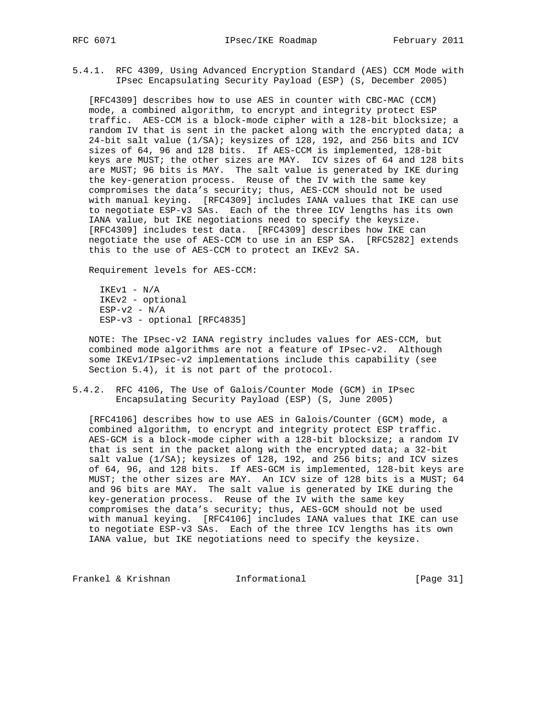5.4.1. RFC 4309, Using Advanced Encryption Standard (AES) CCM Mode with IPsec Encapsulating Security Payload (ESP) (S, December 2005)

 [RFC4309] describes how to use AES in counter with CBC-MAC (CCM) mode, a combined algorithm, to encrypt and integrity protect ESP traffic. AES-CCM is a block-mode cipher with a 128-bit blocksize; a random IV that is sent in the packet along with the encrypted data; a 24-bit salt value (1/SA); keysizes of 128, 192, and 256 bits and ICV sizes of 64, 96 and 128 bits. If AES-CCM is implemented, 128-bit keys are MUST; the other sizes are MAY. ICV sizes of 64 and 128 bits are MUST; 96 bits is MAY. The salt value is generated by IKE during the key-generation process. Reuse of the IV with the same key compromises the data's security; thus, AES-CCM should not be used with manual keying. [RFC4309] includes IANA values that IKE can use to negotiate ESP-v3 SAs. Each of the three ICV lengths has its own IANA value, but IKE negotiations need to specify the keysize. [RFC4309] includes test data. [RFC4309] describes how IKE can negotiate the use of AES-CCM to use in an ESP SA. [RFC5282] extends this to the use of AES-CCM to protect an IKEv2 SA.

Requirement levels for AES-CCM:

 IKEv1 - N/A IKEv2 - optional  $ESP-v2 - N/A$ ESP-v3 - optional [RFC4835]

 NOTE: The IPsec-v2 IANA registry includes values for AES-CCM, but combined mode algorithms are not a feature of IPsec-v2. Although some IKEv1/IPsec-v2 implementations include this capability (see Section 5.4), it is not part of the protocol.

5.4.2. RFC 4106, The Use of Galois/Counter Mode (GCM) in IPsec Encapsulating Security Payload (ESP) (S, June 2005)

 [RFC4106] describes how to use AES in Galois/Counter (GCM) mode, a combined algorithm, to encrypt and integrity protect ESP traffic. AES-GCM is a block-mode cipher with a 128-bit blocksize; a random IV that is sent in the packet along with the encrypted data; a 32-bit salt value (1/SA); keysizes of 128, 192, and 256 bits; and ICV sizes of 64, 96, and 128 bits. If AES-GCM is implemented, 128-bit keys are MUST; the other sizes are MAY. An ICV size of 128 bits is a MUST; 64 and 96 bits are MAY. The salt value is generated by IKE during the key-generation process. Reuse of the IV with the same key compromises the data's security; thus, AES-GCM should not be used with manual keying. [RFC4106] includes IANA values that IKE can use to negotiate ESP-v3 SAs. Each of the three ICV lengths has its own IANA value, but IKE negotiations need to specify the keysize.

Frankel & Krishnan Informational [Page 31]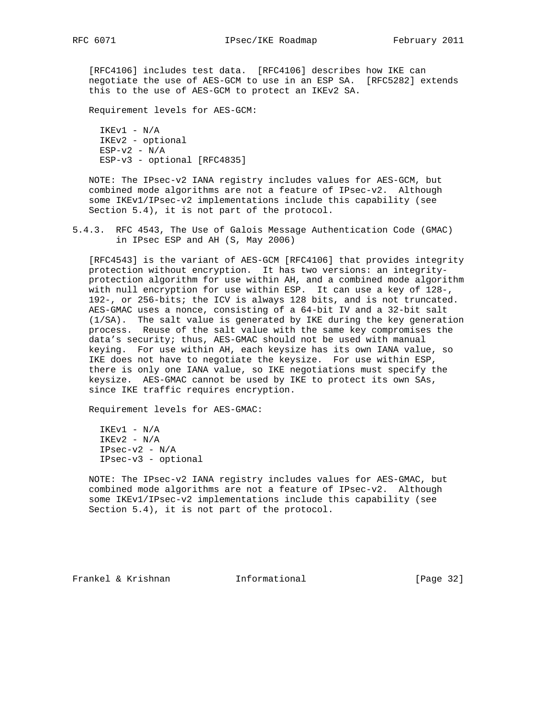[RFC4106] includes test data. [RFC4106] describes how IKE can negotiate the use of AES-GCM to use in an ESP SA. [RFC5282] extends this to the use of AES-GCM to protect an IKEv2 SA.

Requirement levels for AES-GCM:

 IKEv1 - N/A IKEv2 - optional  $ESP-v2 - N/A$ ESP-v3 - optional [RFC4835]

 NOTE: The IPsec-v2 IANA registry includes values for AES-GCM, but combined mode algorithms are not a feature of IPsec-v2. Although some IKEv1/IPsec-v2 implementations include this capability (see Section 5.4), it is not part of the protocol.

5.4.3. RFC 4543, The Use of Galois Message Authentication Code (GMAC) in IPsec ESP and AH (S, May 2006)

 [RFC4543] is the variant of AES-GCM [RFC4106] that provides integrity protection without encryption. It has two versions: an integrity protection algorithm for use within AH, and a combined mode algorithm with null encryption for use within ESP. It can use a key of 128-, 192-, or 256-bits; the ICV is always 128 bits, and is not truncated. AES-GMAC uses a nonce, consisting of a 64-bit IV and a 32-bit salt (1/SA). The salt value is generated by IKE during the key generation process. Reuse of the salt value with the same key compromises the data's security; thus, AES-GMAC should not be used with manual keying. For use within AH, each keysize has its own IANA value, so IKE does not have to negotiate the keysize. For use within ESP, there is only one IANA value, so IKE negotiations must specify the keysize. AES-GMAC cannot be used by IKE to protect its own SAs, since IKE traffic requires encryption.

Requirement levels for AES-GMAC:

 IKEv1 - N/A  $IKEv2 - N/A$  IPsec-v2 - N/A IPsec-v3 - optional

 NOTE: The IPsec-v2 IANA registry includes values for AES-GMAC, but combined mode algorithms are not a feature of IPsec-v2. Although some IKEv1/IPsec-v2 implementations include this capability (see Section 5.4), it is not part of the protocol.

Frankel & Krishnan **Informational** [Page 32]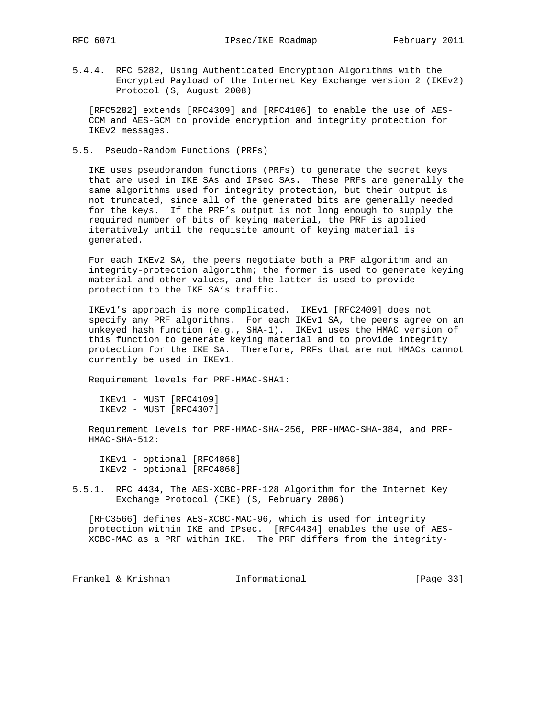5.4.4. RFC 5282, Using Authenticated Encryption Algorithms with the Encrypted Payload of the Internet Key Exchange version 2 (IKEv2) Protocol (S, August 2008)

 [RFC5282] extends [RFC4309] and [RFC4106] to enable the use of AES- CCM and AES-GCM to provide encryption and integrity protection for IKEv2 messages.

5.5. Pseudo-Random Functions (PRFs)

 IKE uses pseudorandom functions (PRFs) to generate the secret keys that are used in IKE SAs and IPsec SAs. These PRFs are generally the same algorithms used for integrity protection, but their output is not truncated, since all of the generated bits are generally needed for the keys. If the PRF's output is not long enough to supply the required number of bits of keying material, the PRF is applied iteratively until the requisite amount of keying material is generated.

 For each IKEv2 SA, the peers negotiate both a PRF algorithm and an integrity-protection algorithm; the former is used to generate keying material and other values, and the latter is used to provide protection to the IKE SA's traffic.

 IKEv1's approach is more complicated. IKEv1 [RFC2409] does not specify any PRF algorithms. For each IKEv1 SA, the peers agree on an unkeyed hash function (e.g., SHA-1). IKEv1 uses the HMAC version of this function to generate keying material and to provide integrity protection for the IKE SA. Therefore, PRFs that are not HMACs cannot currently be used in IKEv1.

Requirement levels for PRF-HMAC-SHA1:

 IKEv1 - MUST [RFC4109] IKEv2 - MUST [RFC4307]

 Requirement levels for PRF-HMAC-SHA-256, PRF-HMAC-SHA-384, and PRF- HMAC-SHA-512:

 IKEv1 - optional [RFC4868] IKEv2 - optional [RFC4868]

5.5.1. RFC 4434, The AES-XCBC-PRF-128 Algorithm for the Internet Key Exchange Protocol (IKE) (S, February 2006)

 [RFC3566] defines AES-XCBC-MAC-96, which is used for integrity protection within IKE and IPsec. [RFC4434] enables the use of AES- XCBC-MAC as a PRF within IKE. The PRF differs from the integrity-

Frankel & Krishnan **Informational** [Page 33]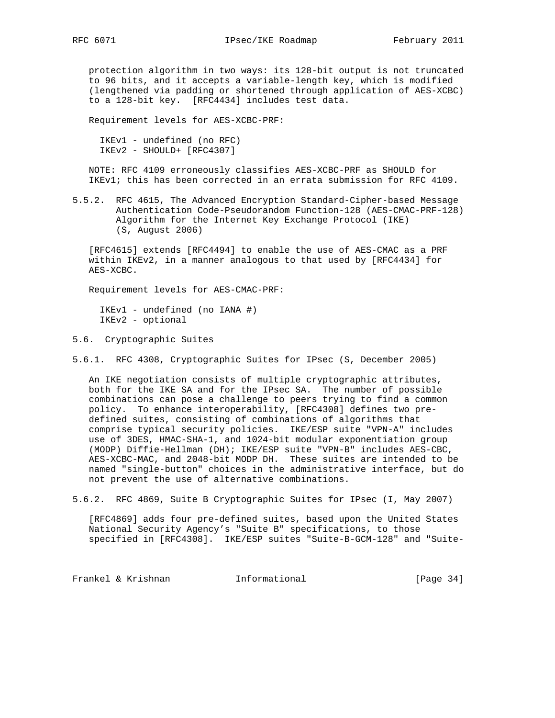protection algorithm in two ways: its 128-bit output is not truncated to 96 bits, and it accepts a variable-length key, which is modified (lengthened via padding or shortened through application of AES-XCBC) to a 128-bit key. [RFC4434] includes test data.

Requirement levels for AES-XCBC-PRF:

 IKEv1 - undefined (no RFC) IKEv2 - SHOULD+ [RFC4307]

 NOTE: RFC 4109 erroneously classifies AES-XCBC-PRF as SHOULD for IKEv1; this has been corrected in an errata submission for RFC 4109.

5.5.2. RFC 4615, The Advanced Encryption Standard-Cipher-based Message Authentication Code-Pseudorandom Function-128 (AES-CMAC-PRF-128) Algorithm for the Internet Key Exchange Protocol (IKE) (S, August 2006)

 [RFC4615] extends [RFC4494] to enable the use of AES-CMAC as a PRF within IKEv2, in a manner analogous to that used by [RFC4434] for AES-XCBC.

Requirement levels for AES-CMAC-PRF:

 IKEv1 - undefined (no IANA #) IKEv2 - optional

5.6. Cryptographic Suites

5.6.1. RFC 4308, Cryptographic Suites for IPsec (S, December 2005)

 An IKE negotiation consists of multiple cryptographic attributes, both for the IKE SA and for the IPsec SA. The number of possible combinations can pose a challenge to peers trying to find a common policy. To enhance interoperability, [RFC4308] defines two pre defined suites, consisting of combinations of algorithms that comprise typical security policies. IKE/ESP suite "VPN-A" includes use of 3DES, HMAC-SHA-1, and 1024-bit modular exponentiation group (MODP) Diffie-Hellman (DH); IKE/ESP suite "VPN-B" includes AES-CBC, AES-XCBC-MAC, and 2048-bit MODP DH. These suites are intended to be named "single-button" choices in the administrative interface, but do not prevent the use of alternative combinations.

5.6.2. RFC 4869, Suite B Cryptographic Suites for IPsec (I, May 2007)

 [RFC4869] adds four pre-defined suites, based upon the United States National Security Agency's "Suite B" specifications, to those specified in [RFC4308]. IKE/ESP suites "Suite-B-GCM-128" and "Suite-

Frankel & Krishnan Thformational [Page 34]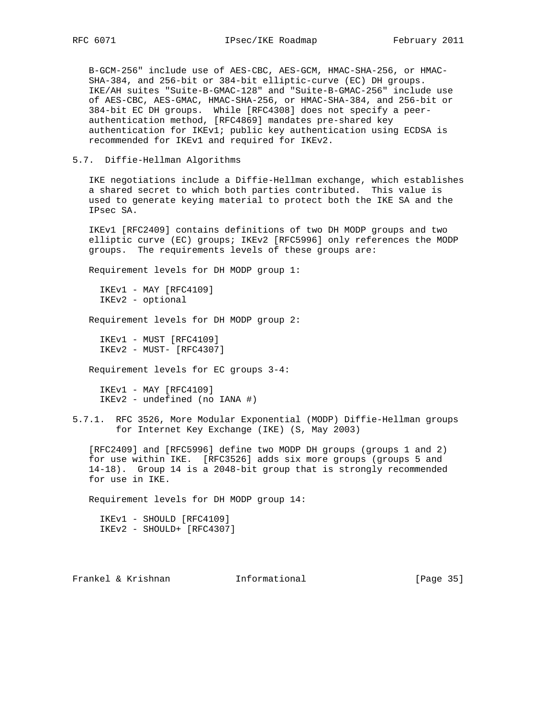B-GCM-256" include use of AES-CBC, AES-GCM, HMAC-SHA-256, or HMAC- SHA-384, and 256-bit or 384-bit elliptic-curve (EC) DH groups. IKE/AH suites "Suite-B-GMAC-128" and "Suite-B-GMAC-256" include use of AES-CBC, AES-GMAC, HMAC-SHA-256, or HMAC-SHA-384, and 256-bit or 384-bit EC DH groups. While [RFC4308] does not specify a peer authentication method, [RFC4869] mandates pre-shared key authentication for IKEv1; public key authentication using ECDSA is recommended for IKEv1 and required for IKEv2.

5.7. Diffie-Hellman Algorithms

 IKE negotiations include a Diffie-Hellman exchange, which establishes a shared secret to which both parties contributed. This value is used to generate keying material to protect both the IKE SA and the IPsec SA.

 IKEv1 [RFC2409] contains definitions of two DH MODP groups and two elliptic curve (EC) groups; IKEv2 [RFC5996] only references the MODP groups. The requirements levels of these groups are:

Requirement levels for DH MODP group 1:

 IKEv1 - MAY [RFC4109] IKEv2 - optional

Requirement levels for DH MODP group 2:

 IKEv1 - MUST [RFC4109] IKEv2 - MUST- [RFC4307]

Requirement levels for EC groups 3-4:

 IKEv1 - MAY [RFC4109] IKEv2 - undefined (no IANA #)

5.7.1. RFC 3526, More Modular Exponential (MODP) Diffie-Hellman groups for Internet Key Exchange (IKE) (S, May 2003)

 [RFC2409] and [RFC5996] define two MODP DH groups (groups 1 and 2) for use within IKE. [RFC3526] adds six more groups (groups 5 and 14-18). Group 14 is a 2048-bit group that is strongly recommended for use in IKE.

Requirement levels for DH MODP group 14:

 IKEv1 - SHOULD [RFC4109] IKEv2 - SHOULD+ [RFC4307]

Frankel & Krishnan Thformational [Page 35]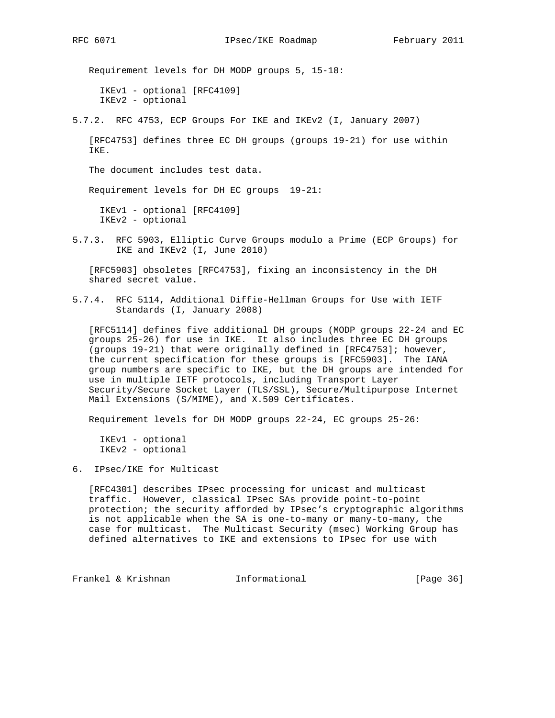Requirement levels for DH MODP groups 5, 15-18: IKEv1 - optional [RFC4109] IKEv2 - optional

5.7.2. RFC 4753, ECP Groups For IKE and IKEv2 (I, January 2007)

 [RFC4753] defines three EC DH groups (groups 19-21) for use within IKE.

The document includes test data.

Requirement levels for DH EC groups 19-21:

 IKEv1 - optional [RFC4109] IKEv2 - optional

5.7.3. RFC 5903, Elliptic Curve Groups modulo a Prime (ECP Groups) for IKE and IKEv2 (I, June 2010)

 [RFC5903] obsoletes [RFC4753], fixing an inconsistency in the DH shared secret value.

5.7.4. RFC 5114, Additional Diffie-Hellman Groups for Use with IETF Standards (I, January 2008)

 [RFC5114] defines five additional DH groups (MODP groups 22-24 and EC groups 25-26) for use in IKE. It also includes three EC DH groups (groups 19-21) that were originally defined in [RFC4753]; however, the current specification for these groups is [RFC5903]. The IANA group numbers are specific to IKE, but the DH groups are intended for use in multiple IETF protocols, including Transport Layer Security/Secure Socket Layer (TLS/SSL), Secure/Multipurpose Internet Mail Extensions (S/MIME), and X.509 Certificates.

Requirement levels for DH MODP groups 22-24, EC groups 25-26:

 IKEv1 - optional IKEv2 - optional

6. IPsec/IKE for Multicast

 [RFC4301] describes IPsec processing for unicast and multicast traffic. However, classical IPsec SAs provide point-to-point protection; the security afforded by IPsec's cryptographic algorithms is not applicable when the SA is one-to-many or many-to-many, the case for multicast. The Multicast Security (msec) Working Group has defined alternatives to IKE and extensions to IPsec for use with

Frankel & Krishnan **Informational** [Page 36]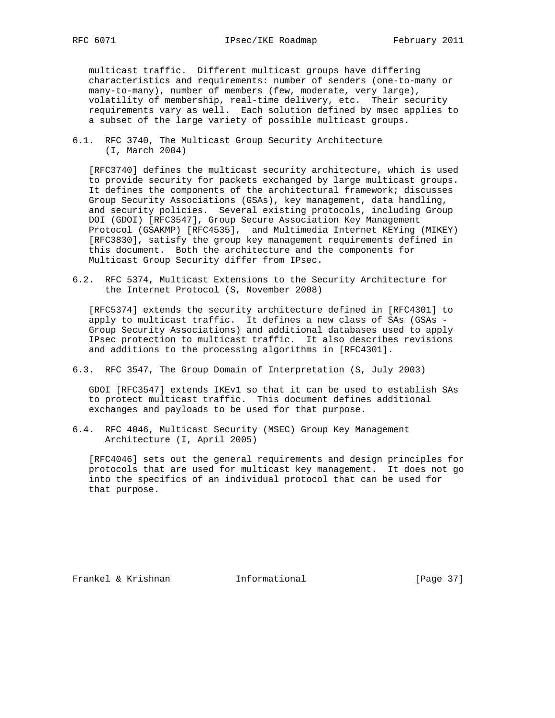multicast traffic. Different multicast groups have differing characteristics and requirements: number of senders (one-to-many or many-to-many), number of members (few, moderate, very large), volatility of membership, real-time delivery, etc. Their security requirements vary as well. Each solution defined by msec applies to a subset of the large variety of possible multicast groups.

6.1. RFC 3740, The Multicast Group Security Architecture (I, March 2004)

 [RFC3740] defines the multicast security architecture, which is used to provide security for packets exchanged by large multicast groups. It defines the components of the architectural framework; discusses Group Security Associations (GSAs), key management, data handling, and security policies. Several existing protocols, including Group DOI (GDOI) [RFC3547], Group Secure Association Key Management Protocol (GSAKMP) [RFC4535], and Multimedia Internet KEYing (MIKEY) [RFC3830], satisfy the group key management requirements defined in this document. Both the architecture and the components for Multicast Group Security differ from IPsec.

6.2. RFC 5374, Multicast Extensions to the Security Architecture for the Internet Protocol (S, November 2008)

 [RFC5374] extends the security architecture defined in [RFC4301] to apply to multicast traffic. It defines a new class of SAs (GSAs - Group Security Associations) and additional databases used to apply IPsec protection to multicast traffic. It also describes revisions and additions to the processing algorithms in [RFC4301].

6.3. RFC 3547, The Group Domain of Interpretation (S, July 2003)

 GDOI [RFC3547] extends IKEv1 so that it can be used to establish SAs to protect multicast traffic. This document defines additional exchanges and payloads to be used for that purpose.

6.4. RFC 4046, Multicast Security (MSEC) Group Key Management Architecture (I, April 2005)

 [RFC4046] sets out the general requirements and design principles for protocols that are used for multicast key management. It does not go into the specifics of an individual protocol that can be used for that purpose.

Frankel & Krishnan **Informational** [Page 37]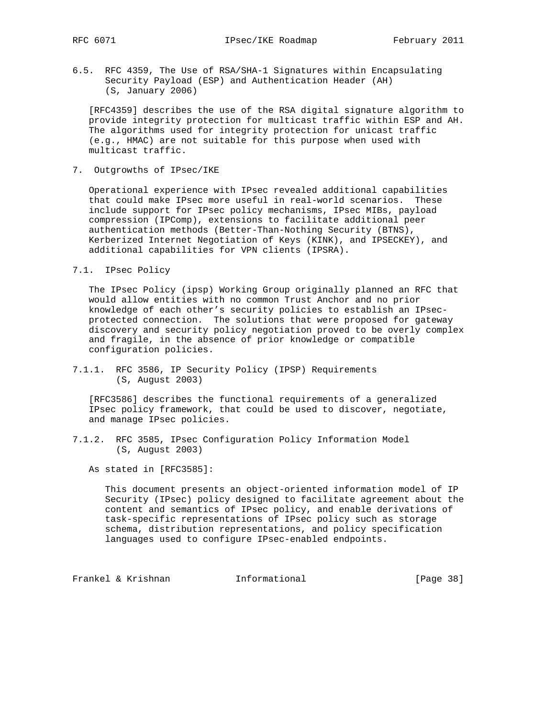6.5. RFC 4359, The Use of RSA/SHA-1 Signatures within Encapsulating Security Payload (ESP) and Authentication Header (AH) (S, January 2006)

 [RFC4359] describes the use of the RSA digital signature algorithm to provide integrity protection for multicast traffic within ESP and AH. The algorithms used for integrity protection for unicast traffic (e.g., HMAC) are not suitable for this purpose when used with multicast traffic.

7. Outgrowths of IPsec/IKE

 Operational experience with IPsec revealed additional capabilities that could make IPsec more useful in real-world scenarios. These include support for IPsec policy mechanisms, IPsec MIBs, payload compression (IPComp), extensions to facilitate additional peer authentication methods (Better-Than-Nothing Security (BTNS), Kerberized Internet Negotiation of Keys (KINK), and IPSECKEY), and additional capabilities for VPN clients (IPSRA).

#### 7.1. IPsec Policy

 The IPsec Policy (ipsp) Working Group originally planned an RFC that would allow entities with no common Trust Anchor and no prior knowledge of each other's security policies to establish an IPsec protected connection. The solutions that were proposed for gateway discovery and security policy negotiation proved to be overly complex and fragile, in the absence of prior knowledge or compatible configuration policies.

7.1.1. RFC 3586, IP Security Policy (IPSP) Requirements (S, August 2003)

 [RFC3586] describes the functional requirements of a generalized IPsec policy framework, that could be used to discover, negotiate, and manage IPsec policies.

7.1.2. RFC 3585, IPsec Configuration Policy Information Model (S, August 2003)

As stated in [RFC3585]:

 This document presents an object-oriented information model of IP Security (IPsec) policy designed to facilitate agreement about the content and semantics of IPsec policy, and enable derivations of task-specific representations of IPsec policy such as storage schema, distribution representations, and policy specification languages used to configure IPsec-enabled endpoints.

Frankel & Krishnan Thermational (Page 38)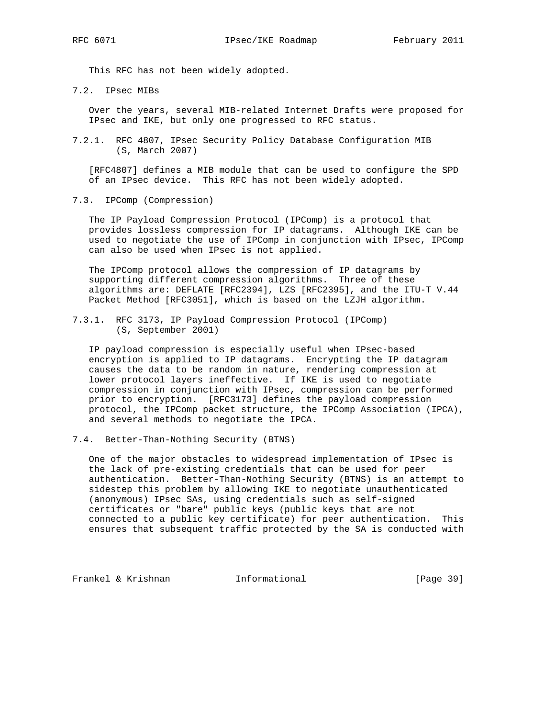This RFC has not been widely adopted.

7.2. IPsec MIBs

 Over the years, several MIB-related Internet Drafts were proposed for IPsec and IKE, but only one progressed to RFC status.

7.2.1. RFC 4807, IPsec Security Policy Database Configuration MIB (S, March 2007)

 [RFC4807] defines a MIB module that can be used to configure the SPD of an IPsec device. This RFC has not been widely adopted.

7.3. IPComp (Compression)

 The IP Payload Compression Protocol (IPComp) is a protocol that provides lossless compression for IP datagrams. Although IKE can be used to negotiate the use of IPComp in conjunction with IPsec, IPComp can also be used when IPsec is not applied.

 The IPComp protocol allows the compression of IP datagrams by supporting different compression algorithms. Three of these algorithms are: DEFLATE [RFC2394], LZS [RFC2395], and the ITU-T V.44 Packet Method [RFC3051], which is based on the LZJH algorithm.

7.3.1. RFC 3173, IP Payload Compression Protocol (IPComp) (S, September 2001)

 IP payload compression is especially useful when IPsec-based encryption is applied to IP datagrams. Encrypting the IP datagram causes the data to be random in nature, rendering compression at lower protocol layers ineffective. If IKE is used to negotiate compression in conjunction with IPsec, compression can be performed prior to encryption. [RFC3173] defines the payload compression protocol, the IPComp packet structure, the IPComp Association (IPCA), and several methods to negotiate the IPCA.

7.4. Better-Than-Nothing Security (BTNS)

 One of the major obstacles to widespread implementation of IPsec is the lack of pre-existing credentials that can be used for peer authentication. Better-Than-Nothing Security (BTNS) is an attempt to sidestep this problem by allowing IKE to negotiate unauthenticated (anonymous) IPsec SAs, using credentials such as self-signed certificates or "bare" public keys (public keys that are not connected to a public key certificate) for peer authentication. This ensures that subsequent traffic protected by the SA is conducted with

Frankel & Krishnan **Informational** [Page 39]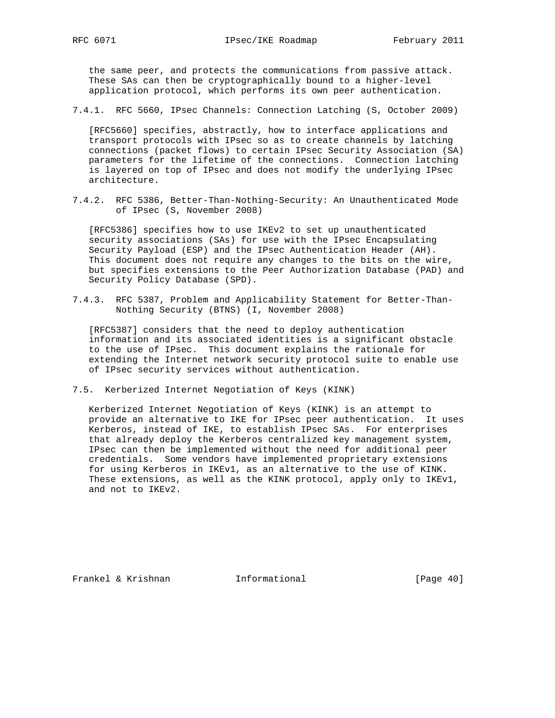the same peer, and protects the communications from passive attack. These SAs can then be cryptographically bound to a higher-level application protocol, which performs its own peer authentication.

7.4.1. RFC 5660, IPsec Channels: Connection Latching (S, October 2009)

 [RFC5660] specifies, abstractly, how to interface applications and transport protocols with IPsec so as to create channels by latching connections (packet flows) to certain IPsec Security Association (SA) parameters for the lifetime of the connections. Connection latching is layered on top of IPsec and does not modify the underlying IPsec architecture.

7.4.2. RFC 5386, Better-Than-Nothing-Security: An Unauthenticated Mode of IPsec (S, November 2008)

 [RFC5386] specifies how to use IKEv2 to set up unauthenticated security associations (SAs) for use with the IPsec Encapsulating Security Payload (ESP) and the IPsec Authentication Header (AH). This document does not require any changes to the bits on the wire, but specifies extensions to the Peer Authorization Database (PAD) and Security Policy Database (SPD).

7.4.3. RFC 5387, Problem and Applicability Statement for Better-Than- Nothing Security (BTNS) (I, November 2008)

 [RFC5387] considers that the need to deploy authentication information and its associated identities is a significant obstacle to the use of IPsec. This document explains the rationale for extending the Internet network security protocol suite to enable use of IPsec security services without authentication.

7.5. Kerberized Internet Negotiation of Keys (KINK)

 Kerberized Internet Negotiation of Keys (KINK) is an attempt to provide an alternative to IKE for IPsec peer authentication. It uses Kerberos, instead of IKE, to establish IPsec SAs. For enterprises that already deploy the Kerberos centralized key management system, IPsec can then be implemented without the need for additional peer credentials. Some vendors have implemented proprietary extensions for using Kerberos in IKEv1, as an alternative to the use of KINK. These extensions, as well as the KINK protocol, apply only to IKEv1, and not to IKEv2.

Frankel & Krishnan Manuel Informational [Page 40]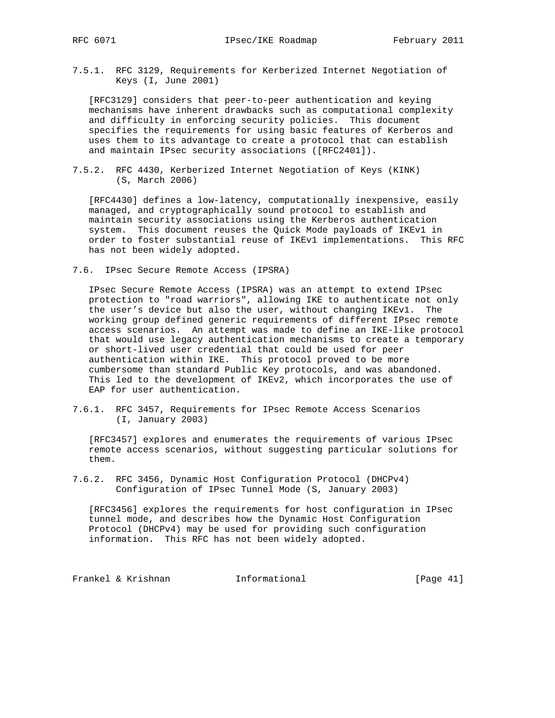7.5.1. RFC 3129, Requirements for Kerberized Internet Negotiation of Keys (I, June 2001)

 [RFC3129] considers that peer-to-peer authentication and keying mechanisms have inherent drawbacks such as computational complexity and difficulty in enforcing security policies. This document specifies the requirements for using basic features of Kerberos and uses them to its advantage to create a protocol that can establish and maintain IPsec security associations ([RFC2401]).

7.5.2. RFC 4430, Kerberized Internet Negotiation of Keys (KINK) (S, March 2006)

 [RFC4430] defines a low-latency, computationally inexpensive, easily managed, and cryptographically sound protocol to establish and maintain security associations using the Kerberos authentication system. This document reuses the Quick Mode payloads of IKEv1 in order to foster substantial reuse of IKEv1 implementations. This RFC has not been widely adopted.

7.6. IPsec Secure Remote Access (IPSRA)

 IPsec Secure Remote Access (IPSRA) was an attempt to extend IPsec protection to "road warriors", allowing IKE to authenticate not only the user's device but also the user, without changing IKEv1. The working group defined generic requirements of different IPsec remote access scenarios. An attempt was made to define an IKE-like protocol that would use legacy authentication mechanisms to create a temporary or short-lived user credential that could be used for peer authentication within IKE. This protocol proved to be more cumbersome than standard Public Key protocols, and was abandoned. This led to the development of IKEv2, which incorporates the use of EAP for user authentication.

7.6.1. RFC 3457, Requirements for IPsec Remote Access Scenarios (I, January 2003)

 [RFC3457] explores and enumerates the requirements of various IPsec remote access scenarios, without suggesting particular solutions for them.

7.6.2. RFC 3456, Dynamic Host Configuration Protocol (DHCPv4) Configuration of IPsec Tunnel Mode (S, January 2003)

 [RFC3456] explores the requirements for host configuration in IPsec tunnel mode, and describes how the Dynamic Host Configuration Protocol (DHCPv4) may be used for providing such configuration information. This RFC has not been widely adopted.

Frankel & Krishnan **Informational** [Page 41]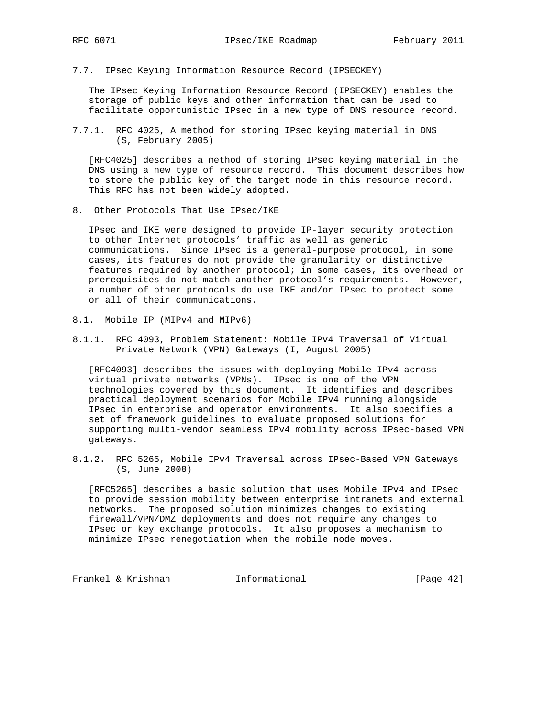7.7. IPsec Keying Information Resource Record (IPSECKEY)

 The IPsec Keying Information Resource Record (IPSECKEY) enables the storage of public keys and other information that can be used to facilitate opportunistic IPsec in a new type of DNS resource record.

7.7.1. RFC 4025, A method for storing IPsec keying material in DNS (S, February 2005)

 [RFC4025] describes a method of storing IPsec keying material in the DNS using a new type of resource record. This document describes how to store the public key of the target node in this resource record. This RFC has not been widely adopted.

8. Other Protocols That Use IPsec/IKE

 IPsec and IKE were designed to provide IP-layer security protection to other Internet protocols' traffic as well as generic communications. Since IPsec is a general-purpose protocol, in some cases, its features do not provide the granularity or distinctive features required by another protocol; in some cases, its overhead or prerequisites do not match another protocol's requirements. However, a number of other protocols do use IKE and/or IPsec to protect some or all of their communications.

- 8.1. Mobile IP (MIPv4 and MIPv6)
- 8.1.1. RFC 4093, Problem Statement: Mobile IPv4 Traversal of Virtual Private Network (VPN) Gateways (I, August 2005)

 [RFC4093] describes the issues with deploying Mobile IPv4 across virtual private networks (VPNs). IPsec is one of the VPN technologies covered by this document. It identifies and describes practical deployment scenarios for Mobile IPv4 running alongside IPsec in enterprise and operator environments. It also specifies a set of framework guidelines to evaluate proposed solutions for supporting multi-vendor seamless IPv4 mobility across IPsec-based VPN gateways.

8.1.2. RFC 5265, Mobile IPv4 Traversal across IPsec-Based VPN Gateways (S, June 2008)

 [RFC5265] describes a basic solution that uses Mobile IPv4 and IPsec to provide session mobility between enterprise intranets and external networks. The proposed solution minimizes changes to existing firewall/VPN/DMZ deployments and does not require any changes to IPsec or key exchange protocols. It also proposes a mechanism to minimize IPsec renegotiation when the mobile node moves.

Frankel & Krishnan **Informational** [Page 42]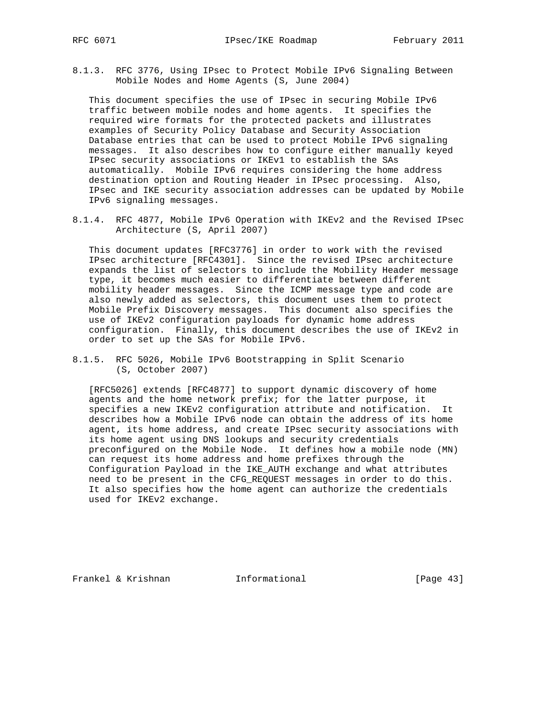8.1.3. RFC 3776, Using IPsec to Protect Mobile IPv6 Signaling Between Mobile Nodes and Home Agents (S, June 2004)

 This document specifies the use of IPsec in securing Mobile IPv6 traffic between mobile nodes and home agents. It specifies the required wire formats for the protected packets and illustrates examples of Security Policy Database and Security Association Database entries that can be used to protect Mobile IPv6 signaling messages. It also describes how to configure either manually keyed IPsec security associations or IKEv1 to establish the SAs automatically. Mobile IPv6 requires considering the home address destination option and Routing Header in IPsec processing. Also, IPsec and IKE security association addresses can be updated by Mobile IPv6 signaling messages.

8.1.4. RFC 4877, Mobile IPv6 Operation with IKEv2 and the Revised IPsec Architecture (S, April 2007)

 This document updates [RFC3776] in order to work with the revised IPsec architecture [RFC4301]. Since the revised IPsec architecture expands the list of selectors to include the Mobility Header message type, it becomes much easier to differentiate between different mobility header messages. Since the ICMP message type and code are also newly added as selectors, this document uses them to protect Mobile Prefix Discovery messages. This document also specifies the use of IKEv2 configuration payloads for dynamic home address configuration. Finally, this document describes the use of IKEv2 in order to set up the SAs for Mobile IPv6.

8.1.5. RFC 5026, Mobile IPv6 Bootstrapping in Split Scenario (S, October 2007)

 [RFC5026] extends [RFC4877] to support dynamic discovery of home agents and the home network prefix; for the latter purpose, it specifies a new IKEv2 configuration attribute and notification. It describes how a Mobile IPv6 node can obtain the address of its home agent, its home address, and create IPsec security associations with its home agent using DNS lookups and security credentials preconfigured on the Mobile Node. It defines how a mobile node (MN) can request its home address and home prefixes through the Configuration Payload in the IKE\_AUTH exchange and what attributes need to be present in the CFG\_REQUEST messages in order to do this. It also specifies how the home agent can authorize the credentials used for IKEv2 exchange.

Frankel & Krishnan **Informational** [Page 43]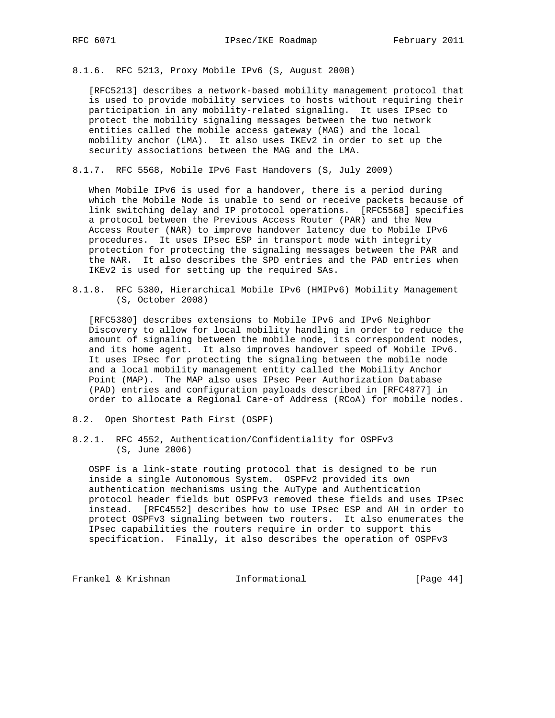8.1.6. RFC 5213, Proxy Mobile IPv6 (S, August 2008)

 [RFC5213] describes a network-based mobility management protocol that is used to provide mobility services to hosts without requiring their participation in any mobility-related signaling. It uses IPsec to protect the mobility signaling messages between the two network entities called the mobile access gateway (MAG) and the local mobility anchor (LMA). It also uses IKEv2 in order to set up the security associations between the MAG and the LMA.

8.1.7. RFC 5568, Mobile IPv6 Fast Handovers (S, July 2009)

 When Mobile IPv6 is used for a handover, there is a period during which the Mobile Node is unable to send or receive packets because of link switching delay and IP protocol operations. [RFC5568] specifies a protocol between the Previous Access Router (PAR) and the New Access Router (NAR) to improve handover latency due to Mobile IPv6 procedures. It uses IPsec ESP in transport mode with integrity protection for protecting the signaling messages between the PAR and the NAR. It also describes the SPD entries and the PAD entries when IKEv2 is used for setting up the required SAs.

8.1.8. RFC 5380, Hierarchical Mobile IPv6 (HMIPv6) Mobility Management (S, October 2008)

 [RFC5380] describes extensions to Mobile IPv6 and IPv6 Neighbor Discovery to allow for local mobility handling in order to reduce the amount of signaling between the mobile node, its correspondent nodes, and its home agent. It also improves handover speed of Mobile IPv6. It uses IPsec for protecting the signaling between the mobile node and a local mobility management entity called the Mobility Anchor Point (MAP). The MAP also uses IPsec Peer Authorization Database (PAD) entries and configuration payloads described in [RFC4877] in order to allocate a Regional Care-of Address (RCoA) for mobile nodes.

- 8.2. Open Shortest Path First (OSPF)
- 8.2.1. RFC 4552, Authentication/Confidentiality for OSPFv3 (S, June 2006)

 OSPF is a link-state routing protocol that is designed to be run inside a single Autonomous System. OSPFv2 provided its own authentication mechanisms using the AuType and Authentication protocol header fields but OSPFv3 removed these fields and uses IPsec instead. [RFC4552] describes how to use IPsec ESP and AH in order to protect OSPFv3 signaling between two routers. It also enumerates the IPsec capabilities the routers require in order to support this specification. Finally, it also describes the operation of OSPFv3

Frankel & Krishnan **Informational** [Page 44]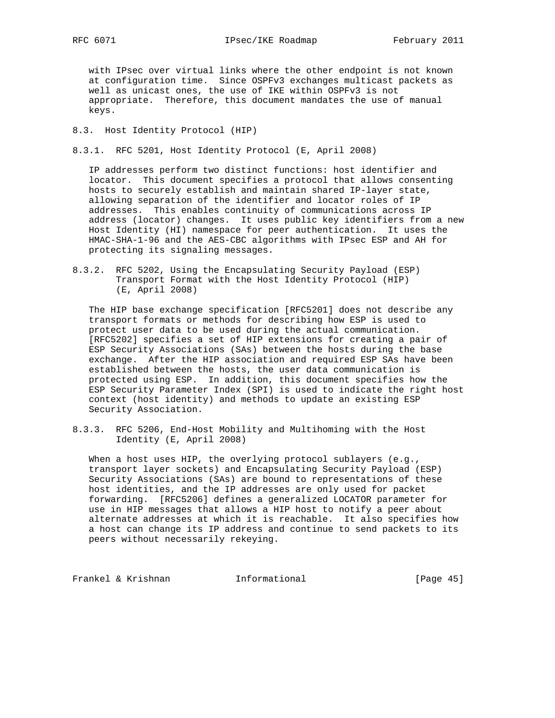with IPsec over virtual links where the other endpoint is not known at configuration time. Since OSPFv3 exchanges multicast packets as well as unicast ones, the use of IKE within OSPFv3 is not appropriate. Therefore, this document mandates the use of manual keys.

8.3. Host Identity Protocol (HIP)

8.3.1. RFC 5201, Host Identity Protocol (E, April 2008)

 IP addresses perform two distinct functions: host identifier and locator. This document specifies a protocol that allows consenting hosts to securely establish and maintain shared IP-layer state, allowing separation of the identifier and locator roles of IP addresses. This enables continuity of communications across IP address (locator) changes. It uses public key identifiers from a new Host Identity (HI) namespace for peer authentication. It uses the HMAC-SHA-1-96 and the AES-CBC algorithms with IPsec ESP and AH for protecting its signaling messages.

8.3.2. RFC 5202, Using the Encapsulating Security Payload (ESP) Transport Format with the Host Identity Protocol (HIP) (E, April 2008)

 The HIP base exchange specification [RFC5201] does not describe any transport formats or methods for describing how ESP is used to protect user data to be used during the actual communication. [RFC5202] specifies a set of HIP extensions for creating a pair of ESP Security Associations (SAs) between the hosts during the base exchange. After the HIP association and required ESP SAs have been established between the hosts, the user data communication is protected using ESP. In addition, this document specifies how the ESP Security Parameter Index (SPI) is used to indicate the right host context (host identity) and methods to update an existing ESP Security Association.

8.3.3. RFC 5206, End-Host Mobility and Multihoming with the Host Identity (E, April 2008)

When a host uses HIP, the overlying protocol sublayers (e.g., transport layer sockets) and Encapsulating Security Payload (ESP) Security Associations (SAs) are bound to representations of these host identities, and the IP addresses are only used for packet forwarding. [RFC5206] defines a generalized LOCATOR parameter for use in HIP messages that allows a HIP host to notify a peer about alternate addresses at which it is reachable. It also specifies how a host can change its IP address and continue to send packets to its peers without necessarily rekeying.

Frankel & Krishnan **Informational** [Page 45]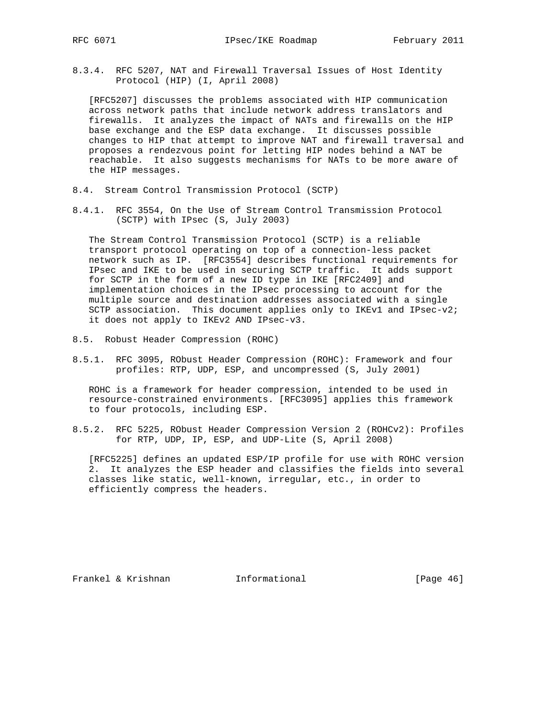8.3.4. RFC 5207, NAT and Firewall Traversal Issues of Host Identity Protocol (HIP) (I, April 2008)

 [RFC5207] discusses the problems associated with HIP communication across network paths that include network address translators and firewalls. It analyzes the impact of NATs and firewalls on the HIP base exchange and the ESP data exchange. It discusses possible changes to HIP that attempt to improve NAT and firewall traversal and proposes a rendezvous point for letting HIP nodes behind a NAT be reachable. It also suggests mechanisms for NATs to be more aware of the HIP messages.

- 8.4. Stream Control Transmission Protocol (SCTP)
- 8.4.1. RFC 3554, On the Use of Stream Control Transmission Protocol (SCTP) with IPsec (S, July 2003)

 The Stream Control Transmission Protocol (SCTP) is a reliable transport protocol operating on top of a connection-less packet network such as IP. [RFC3554] describes functional requirements for IPsec and IKE to be used in securing SCTP traffic. It adds support for SCTP in the form of a new ID type in IKE [RFC2409] and implementation choices in the IPsec processing to account for the multiple source and destination addresses associated with a single SCTP association. This document applies only to IKEv1 and IPsec-v2; it does not apply to IKEv2 AND IPsec-v3.

- 8.5. Robust Header Compression (ROHC)
- 8.5.1. RFC 3095, RObust Header Compression (ROHC): Framework and four profiles: RTP, UDP, ESP, and uncompressed (S, July 2001)

 ROHC is a framework for header compression, intended to be used in resource-constrained environments. [RFC3095] applies this framework to four protocols, including ESP.

8.5.2. RFC 5225, RObust Header Compression Version 2 (ROHCv2): Profiles for RTP, UDP, IP, ESP, and UDP-Lite (S, April 2008)

 [RFC5225] defines an updated ESP/IP profile for use with ROHC version 2. It analyzes the ESP header and classifies the fields into several classes like static, well-known, irregular, etc., in order to efficiently compress the headers.

Frankel & Krishnan **Informational** [Page 46]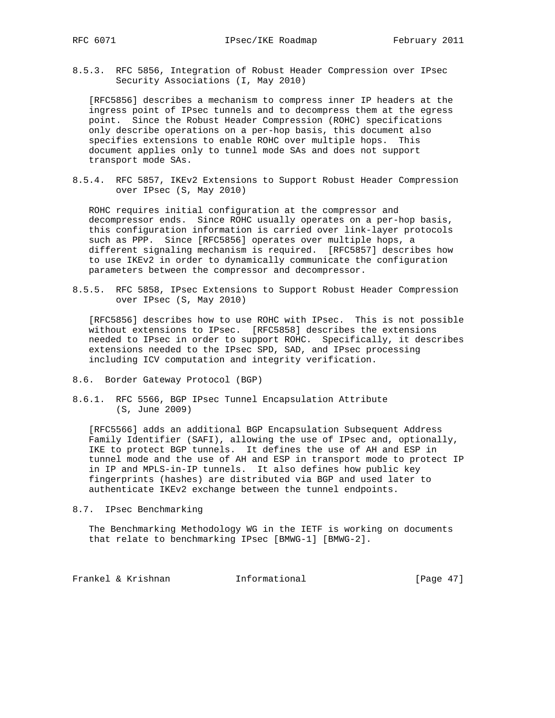8.5.3. RFC 5856, Integration of Robust Header Compression over IPsec Security Associations (I, May 2010)

 [RFC5856] describes a mechanism to compress inner IP headers at the ingress point of IPsec tunnels and to decompress them at the egress point. Since the Robust Header Compression (ROHC) specifications only describe operations on a per-hop basis, this document also specifies extensions to enable ROHC over multiple hops. This document applies only to tunnel mode SAs and does not support transport mode SAs.

8.5.4. RFC 5857, IKEv2 Extensions to Support Robust Header Compression over IPsec (S, May 2010)

 ROHC requires initial configuration at the compressor and decompressor ends. Since ROHC usually operates on a per-hop basis, this configuration information is carried over link-layer protocols such as PPP. Since [RFC5856] operates over multiple hops, a different signaling mechanism is required. [RFC5857] describes how to use IKEv2 in order to dynamically communicate the configuration parameters between the compressor and decompressor.

8.5.5. RFC 5858, IPsec Extensions to Support Robust Header Compression over IPsec (S, May 2010)

 [RFC5856] describes how to use ROHC with IPsec. This is not possible without extensions to IPsec. [RFC5858] describes the extensions needed to IPsec in order to support ROHC. Specifically, it describes extensions needed to the IPsec SPD, SAD, and IPsec processing including ICV computation and integrity verification.

- 8.6. Border Gateway Protocol (BGP)
- 8.6.1. RFC 5566, BGP IPsec Tunnel Encapsulation Attribute (S, June 2009)

 [RFC5566] adds an additional BGP Encapsulation Subsequent Address Family Identifier (SAFI), allowing the use of IPsec and, optionally, IKE to protect BGP tunnels. It defines the use of AH and ESP in tunnel mode and the use of AH and ESP in transport mode to protect IP in IP and MPLS-in-IP tunnels. It also defines how public key fingerprints (hashes) are distributed via BGP and used later to authenticate IKEv2 exchange between the tunnel endpoints.

8.7. IPsec Benchmarking

 The Benchmarking Methodology WG in the IETF is working on documents that relate to benchmarking IPsec [BMWG-1] [BMWG-2].

Frankel & Krishnan **Informational** [Page 47]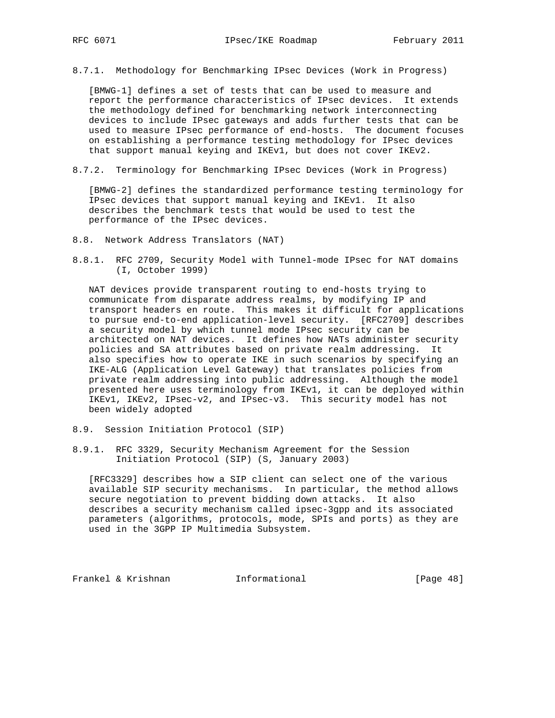8.7.1. Methodology for Benchmarking IPsec Devices (Work in Progress)

 [BMWG-1] defines a set of tests that can be used to measure and report the performance characteristics of IPsec devices. It extends the methodology defined for benchmarking network interconnecting devices to include IPsec gateways and adds further tests that can be used to measure IPsec performance of end-hosts. The document focuses on establishing a performance testing methodology for IPsec devices that support manual keying and IKEv1, but does not cover IKEv2.

8.7.2. Terminology for Benchmarking IPsec Devices (Work in Progress)

 [BMWG-2] defines the standardized performance testing terminology for IPsec devices that support manual keying and IKEv1. It also describes the benchmark tests that would be used to test the performance of the IPsec devices.

- 8.8. Network Address Translators (NAT)
- 8.8.1. RFC 2709, Security Model with Tunnel-mode IPsec for NAT domains (I, October 1999)

 NAT devices provide transparent routing to end-hosts trying to communicate from disparate address realms, by modifying IP and transport headers en route. This makes it difficult for applications to pursue end-to-end application-level security. [RFC2709] describes a security model by which tunnel mode IPsec security can be architected on NAT devices. It defines how NATs administer security policies and SA attributes based on private realm addressing. It also specifies how to operate IKE in such scenarios by specifying an IKE-ALG (Application Level Gateway) that translates policies from private realm addressing into public addressing. Although the model presented here uses terminology from IKEv1, it can be deployed within IKEv1, IKEv2, IPsec-v2, and IPsec-v3. This security model has not been widely adopted

- 8.9. Session Initiation Protocol (SIP)
- 8.9.1. RFC 3329, Security Mechanism Agreement for the Session Initiation Protocol (SIP) (S, January 2003)

 [RFC3329] describes how a SIP client can select one of the various available SIP security mechanisms. In particular, the method allows secure negotiation to prevent bidding down attacks. It also describes a security mechanism called ipsec-3gpp and its associated parameters (algorithms, protocols, mode, SPIs and ports) as they are used in the 3GPP IP Multimedia Subsystem.

Frankel & Krishnan **Informational** [Page 48]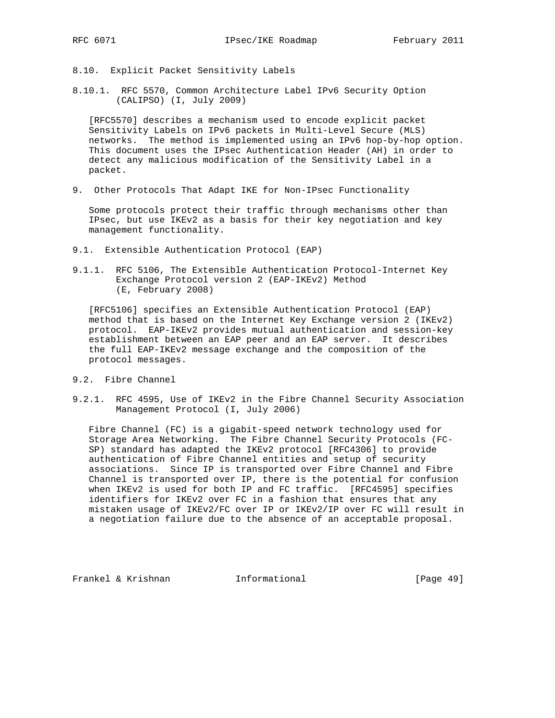- 8.10. Explicit Packet Sensitivity Labels
- 8.10.1. RFC 5570, Common Architecture Label IPv6 Security Option (CALIPSO) (I, July 2009)

 [RFC5570] describes a mechanism used to encode explicit packet Sensitivity Labels on IPv6 packets in Multi-Level Secure (MLS) networks. The method is implemented using an IPv6 hop-by-hop option. This document uses the IPsec Authentication Header (AH) in order to detect any malicious modification of the Sensitivity Label in a packet.

9. Other Protocols That Adapt IKE for Non-IPsec Functionality

 Some protocols protect their traffic through mechanisms other than IPsec, but use IKEv2 as a basis for their key negotiation and key management functionality.

- 9.1. Extensible Authentication Protocol (EAP)
- 9.1.1. RFC 5106, The Extensible Authentication Protocol-Internet Key Exchange Protocol version 2 (EAP-IKEv2) Method (E, February 2008)

 [RFC5106] specifies an Extensible Authentication Protocol (EAP) method that is based on the Internet Key Exchange version 2 (IKEv2) protocol. EAP-IKEv2 provides mutual authentication and session-key establishment between an EAP peer and an EAP server. It describes the full EAP-IKEv2 message exchange and the composition of the protocol messages.

- 9.2. Fibre Channel
- 9.2.1. RFC 4595, Use of IKEv2 in the Fibre Channel Security Association Management Protocol (I, July 2006)

 Fibre Channel (FC) is a gigabit-speed network technology used for Storage Area Networking. The Fibre Channel Security Protocols (FC- SP) standard has adapted the IKEv2 protocol [RFC4306] to provide authentication of Fibre Channel entities and setup of security associations. Since IP is transported over Fibre Channel and Fibre Channel is transported over IP, there is the potential for confusion when IKEv2 is used for both IP and FC traffic. [RFC4595] specifies identifiers for IKEv2 over FC in a fashion that ensures that any mistaken usage of IKEv2/FC over IP or IKEv2/IP over FC will result in a negotiation failure due to the absence of an acceptable proposal.

Frankel & Krishnan **Informational** [Page 49]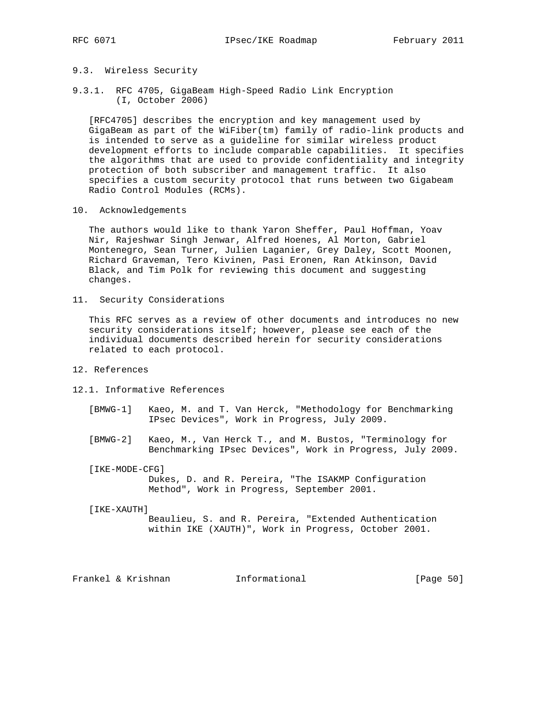## 9.3. Wireless Security

9.3.1. RFC 4705, GigaBeam High-Speed Radio Link Encryption (I, October 2006)

 [RFC4705] describes the encryption and key management used by GigaBeam as part of the WiFiber(tm) family of radio-link products and is intended to serve as a guideline for similar wireless product development efforts to include comparable capabilities. It specifies the algorithms that are used to provide confidentiality and integrity protection of both subscriber and management traffic. It also specifies a custom security protocol that runs between two Gigabeam Radio Control Modules (RCMs).

10. Acknowledgements

 The authors would like to thank Yaron Sheffer, Paul Hoffman, Yoav Nir, Rajeshwar Singh Jenwar, Alfred Hoenes, Al Morton, Gabriel Montenegro, Sean Turner, Julien Laganier, Grey Daley, Scott Moonen, Richard Graveman, Tero Kivinen, Pasi Eronen, Ran Atkinson, David Black, and Tim Polk for reviewing this document and suggesting changes.

11. Security Considerations

 This RFC serves as a review of other documents and introduces no new security considerations itself; however, please see each of the individual documents described herein for security considerations related to each protocol.

## 12. References

- 12.1. Informative References
	- [BMWG-1] Kaeo, M. and T. Van Herck, "Methodology for Benchmarking IPsec Devices", Work in Progress, July 2009.
	- [BMWG-2] Kaeo, M., Van Herck T., and M. Bustos, "Terminology for Benchmarking IPsec Devices", Work in Progress, July 2009.

[IKE-MODE-CFG]

 Dukes, D. and R. Pereira, "The ISAKMP Configuration Method", Work in Progress, September 2001.

#### [IKE-XAUTH]

 Beaulieu, S. and R. Pereira, "Extended Authentication within IKE (XAUTH)", Work in Progress, October 2001.

Frankel & Krishnan Thermational (Page 50)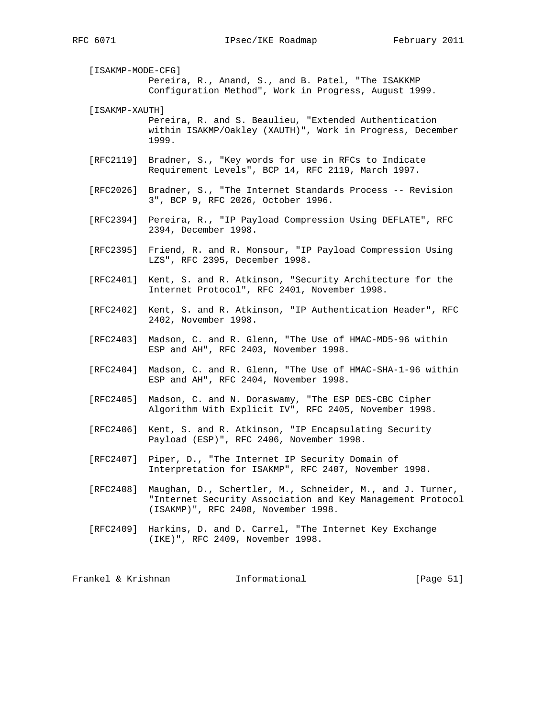[ISAKMP-MODE-CFG] Pereira, R., Anand, S., and B. Patel, "The ISAKKMP Configuration Method", Work in Progress, August 1999.

[ISAKMP-XAUTH]

 Pereira, R. and S. Beaulieu, "Extended Authentication within ISAKMP/Oakley (XAUTH)", Work in Progress, December 1999.

- [RFC2119] Bradner, S., "Key words for use in RFCs to Indicate Requirement Levels", BCP 14, RFC 2119, March 1997.
- [RFC2026] Bradner, S., "The Internet Standards Process -- Revision 3", BCP 9, RFC 2026, October 1996.
- [RFC2394] Pereira, R., "IP Payload Compression Using DEFLATE", RFC 2394, December 1998.
- [RFC2395] Friend, R. and R. Monsour, "IP Payload Compression Using LZS", RFC 2395, December 1998.
- [RFC2401] Kent, S. and R. Atkinson, "Security Architecture for the Internet Protocol", RFC 2401, November 1998.
- [RFC2402] Kent, S. and R. Atkinson, "IP Authentication Header", RFC 2402, November 1998.
- [RFC2403] Madson, C. and R. Glenn, "The Use of HMAC-MD5-96 within ESP and AH", RFC 2403, November 1998.
- [RFC2404] Madson, C. and R. Glenn, "The Use of HMAC-SHA-1-96 within ESP and AH", RFC 2404, November 1998.
- [RFC2405] Madson, C. and N. Doraswamy, "The ESP DES-CBC Cipher Algorithm With Explicit IV", RFC 2405, November 1998.
- [RFC2406] Kent, S. and R. Atkinson, "IP Encapsulating Security Payload (ESP)", RFC 2406, November 1998.
- [RFC2407] Piper, D., "The Internet IP Security Domain of Interpretation for ISAKMP", RFC 2407, November 1998.
- [RFC2408] Maughan, D., Schertler, M., Schneider, M., and J. Turner, "Internet Security Association and Key Management Protocol (ISAKMP)", RFC 2408, November 1998.
- [RFC2409] Harkins, D. and D. Carrel, "The Internet Key Exchange (IKE)", RFC 2409, November 1998.

Frankel & Krishnan **Informational** [Page 51]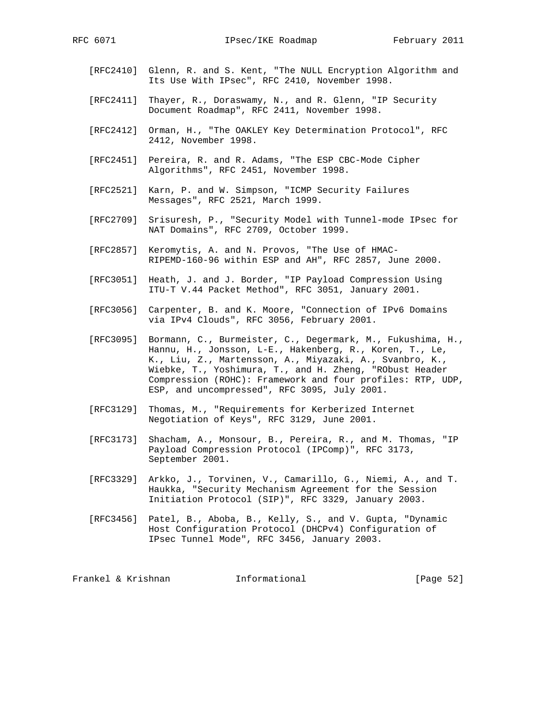- [RFC2410] Glenn, R. and S. Kent, "The NULL Encryption Algorithm and Its Use With IPsec", RFC 2410, November 1998.
- [RFC2411] Thayer, R., Doraswamy, N., and R. Glenn, "IP Security Document Roadmap", RFC 2411, November 1998.
- [RFC2412] Orman, H., "The OAKLEY Key Determination Protocol", RFC 2412, November 1998.
- [RFC2451] Pereira, R. and R. Adams, "The ESP CBC-Mode Cipher Algorithms", RFC 2451, November 1998.
- [RFC2521] Karn, P. and W. Simpson, "ICMP Security Failures Messages", RFC 2521, March 1999.
- [RFC2709] Srisuresh, P., "Security Model with Tunnel-mode IPsec for NAT Domains", RFC 2709, October 1999.
- [RFC2857] Keromytis, A. and N. Provos, "The Use of HMAC- RIPEMD-160-96 within ESP and AH", RFC 2857, June 2000.
- [RFC3051] Heath, J. and J. Border, "IP Payload Compression Using ITU-T V.44 Packet Method", RFC 3051, January 2001.
- [RFC3056] Carpenter, B. and K. Moore, "Connection of IPv6 Domains via IPv4 Clouds", RFC 3056, February 2001.
- [RFC3095] Bormann, C., Burmeister, C., Degermark, M., Fukushima, H., Hannu, H., Jonsson, L-E., Hakenberg, R., Koren, T., Le, K., Liu, Z., Martensson, A., Miyazaki, A., Svanbro, K., Wiebke, T., Yoshimura, T., and H. Zheng, "RObust Header Compression (ROHC): Framework and four profiles: RTP, UDP, ESP, and uncompressed", RFC 3095, July 2001.
- [RFC3129] Thomas, M., "Requirements for Kerberized Internet Negotiation of Keys", RFC 3129, June 2001.
- [RFC3173] Shacham, A., Monsour, B., Pereira, R., and M. Thomas, "IP Payload Compression Protocol (IPComp)", RFC 3173, September 2001.
- [RFC3329] Arkko, J., Torvinen, V., Camarillo, G., Niemi, A., and T. Haukka, "Security Mechanism Agreement for the Session Initiation Protocol (SIP)", RFC 3329, January 2003.
- [RFC3456] Patel, B., Aboba, B., Kelly, S., and V. Gupta, "Dynamic Host Configuration Protocol (DHCPv4) Configuration of IPsec Tunnel Mode", RFC 3456, January 2003.

Frankel & Krishnan **Informational** [Page 52]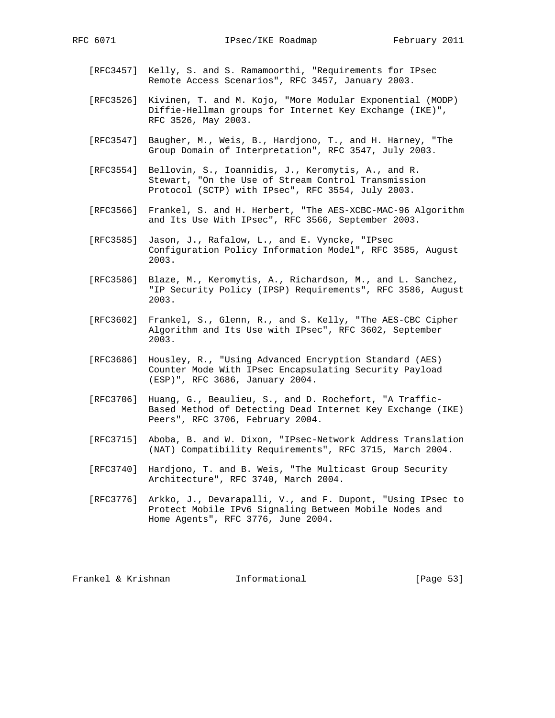- [RFC3457] Kelly, S. and S. Ramamoorthi, "Requirements for IPsec Remote Access Scenarios", RFC 3457, January 2003.
- [RFC3526] Kivinen, T. and M. Kojo, "More Modular Exponential (MODP) Diffie-Hellman groups for Internet Key Exchange (IKE)", RFC 3526, May 2003.
- [RFC3547] Baugher, M., Weis, B., Hardjono, T., and H. Harney, "The Group Domain of Interpretation", RFC 3547, July 2003.
- [RFC3554] Bellovin, S., Ioannidis, J., Keromytis, A., and R. Stewart, "On the Use of Stream Control Transmission Protocol (SCTP) with IPsec", RFC 3554, July 2003.
- [RFC3566] Frankel, S. and H. Herbert, "The AES-XCBC-MAC-96 Algorithm and Its Use With IPsec", RFC 3566, September 2003.
- [RFC3585] Jason, J., Rafalow, L., and E. Vyncke, "IPsec Configuration Policy Information Model", RFC 3585, August 2003.
- [RFC3586] Blaze, M., Keromytis, A., Richardson, M., and L. Sanchez, "IP Security Policy (IPSP) Requirements", RFC 3586, August 2003.
- [RFC3602] Frankel, S., Glenn, R., and S. Kelly, "The AES-CBC Cipher Algorithm and Its Use with IPsec", RFC 3602, September 2003.
- [RFC3686] Housley, R., "Using Advanced Encryption Standard (AES) Counter Mode With IPsec Encapsulating Security Payload (ESP)", RFC 3686, January 2004.
- [RFC3706] Huang, G., Beaulieu, S., and D. Rochefort, "A Traffic- Based Method of Detecting Dead Internet Key Exchange (IKE) Peers", RFC 3706, February 2004.
- [RFC3715] Aboba, B. and W. Dixon, "IPsec-Network Address Translation (NAT) Compatibility Requirements", RFC 3715, March 2004.
- [RFC3740] Hardjono, T. and B. Weis, "The Multicast Group Security Architecture", RFC 3740, March 2004.
- [RFC3776] Arkko, J., Devarapalli, V., and F. Dupont, "Using IPsec to Protect Mobile IPv6 Signaling Between Mobile Nodes and Home Agents", RFC 3776, June 2004.

Frankel & Krishnan Informational [Page 53]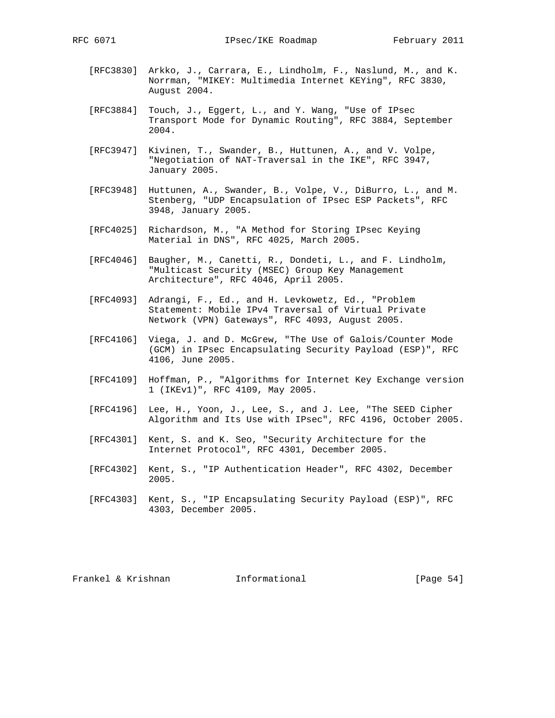- [RFC3830] Arkko, J., Carrara, E., Lindholm, F., Naslund, M., and K. Norrman, "MIKEY: Multimedia Internet KEYing", RFC 3830, August 2004.
- [RFC3884] Touch, J., Eggert, L., and Y. Wang, "Use of IPsec Transport Mode for Dynamic Routing", RFC 3884, September 2004.
- [RFC3947] Kivinen, T., Swander, B., Huttunen, A., and V. Volpe, "Negotiation of NAT-Traversal in the IKE", RFC 3947, January 2005.
- [RFC3948] Huttunen, A., Swander, B., Volpe, V., DiBurro, L., and M. Stenberg, "UDP Encapsulation of IPsec ESP Packets", RFC 3948, January 2005.
- [RFC4025] Richardson, M., "A Method for Storing IPsec Keying Material in DNS", RFC 4025, March 2005.
- [RFC4046] Baugher, M., Canetti, R., Dondeti, L., and F. Lindholm, "Multicast Security (MSEC) Group Key Management Architecture", RFC 4046, April 2005.
- [RFC4093] Adrangi, F., Ed., and H. Levkowetz, Ed., "Problem Statement: Mobile IPv4 Traversal of Virtual Private Network (VPN) Gateways", RFC 4093, August 2005.
- [RFC4106] Viega, J. and D. McGrew, "The Use of Galois/Counter Mode (GCM) in IPsec Encapsulating Security Payload (ESP)", RFC 4106, June 2005.
- [RFC4109] Hoffman, P., "Algorithms for Internet Key Exchange version 1 (IKEv1)", RFC 4109, May 2005.
- [RFC4196] Lee, H., Yoon, J., Lee, S., and J. Lee, "The SEED Cipher Algorithm and Its Use with IPsec", RFC 4196, October 2005.
- [RFC4301] Kent, S. and K. Seo, "Security Architecture for the Internet Protocol", RFC 4301, December 2005.
- [RFC4302] Kent, S., "IP Authentication Header", RFC 4302, December 2005.
- [RFC4303] Kent, S., "IP Encapsulating Security Payload (ESP)", RFC 4303, December 2005.

Frankel & Krishnan Thformational [Page 54]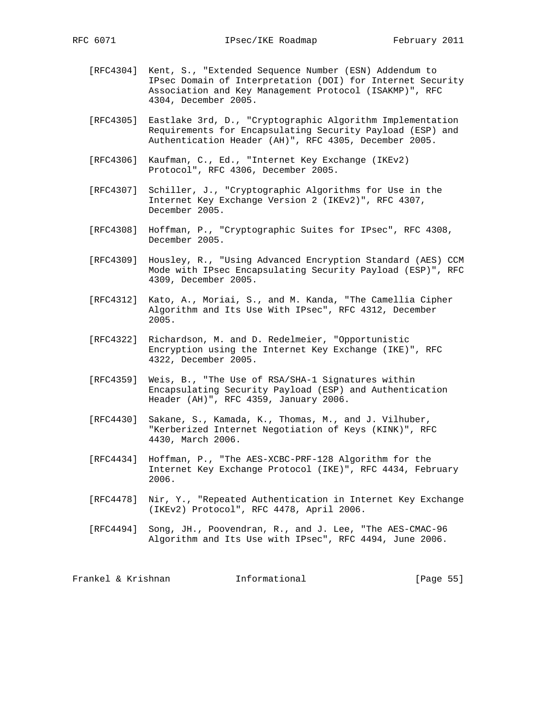- [RFC4304] Kent, S., "Extended Sequence Number (ESN) Addendum to IPsec Domain of Interpretation (DOI) for Internet Security Association and Key Management Protocol (ISAKMP)", RFC 4304, December 2005.
- [RFC4305] Eastlake 3rd, D., "Cryptographic Algorithm Implementation Requirements for Encapsulating Security Payload (ESP) and Authentication Header (AH)", RFC 4305, December 2005.
- [RFC4306] Kaufman, C., Ed., "Internet Key Exchange (IKEv2) Protocol", RFC 4306, December 2005.
- [RFC4307] Schiller, J., "Cryptographic Algorithms for Use in the Internet Key Exchange Version 2 (IKEv2)", RFC 4307, December 2005.
- [RFC4308] Hoffman, P., "Cryptographic Suites for IPsec", RFC 4308, December 2005.
- [RFC4309] Housley, R., "Using Advanced Encryption Standard (AES) CCM Mode with IPsec Encapsulating Security Payload (ESP)", RFC 4309, December 2005.
- [RFC4312] Kato, A., Moriai, S., and M. Kanda, "The Camellia Cipher Algorithm and Its Use With IPsec", RFC 4312, December 2005.
- [RFC4322] Richardson, M. and D. Redelmeier, "Opportunistic Encryption using the Internet Key Exchange (IKE)", RFC 4322, December 2005.
- [RFC4359] Weis, B., "The Use of RSA/SHA-1 Signatures within Encapsulating Security Payload (ESP) and Authentication Header (AH)", RFC 4359, January 2006.
- [RFC4430] Sakane, S., Kamada, K., Thomas, M., and J. Vilhuber, "Kerberized Internet Negotiation of Keys (KINK)", RFC 4430, March 2006.
- [RFC4434] Hoffman, P., "The AES-XCBC-PRF-128 Algorithm for the Internet Key Exchange Protocol (IKE)", RFC 4434, February 2006.
- [RFC4478] Nir, Y., "Repeated Authentication in Internet Key Exchange (IKEv2) Protocol", RFC 4478, April 2006.
- [RFC4494] Song, JH., Poovendran, R., and J. Lee, "The AES-CMAC-96 Algorithm and Its Use with IPsec", RFC 4494, June 2006.

Frankel & Krishnan **Informational** [Page 55]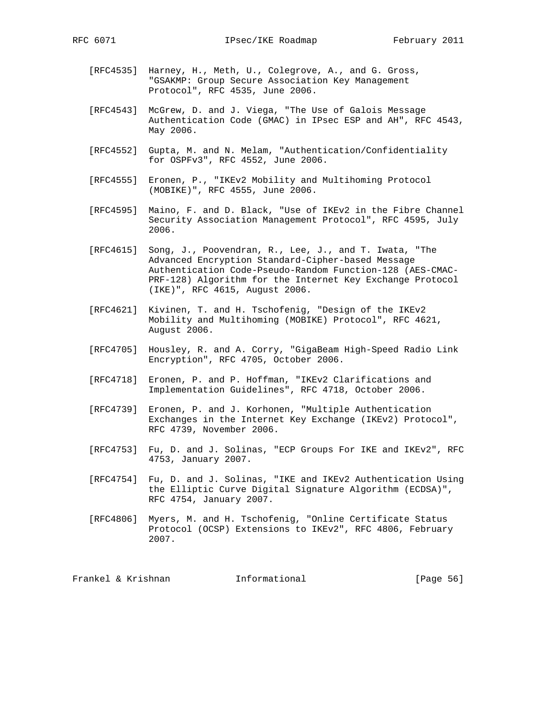- - [RFC4535] Harney, H., Meth, U., Colegrove, A., and G. Gross, "GSAKMP: Group Secure Association Key Management Protocol", RFC 4535, June 2006.
	- [RFC4543] McGrew, D. and J. Viega, "The Use of Galois Message Authentication Code (GMAC) in IPsec ESP and AH", RFC 4543, May 2006.
	- [RFC4552] Gupta, M. and N. Melam, "Authentication/Confidentiality for OSPFv3", RFC 4552, June 2006.
	- [RFC4555] Eronen, P., "IKEv2 Mobility and Multihoming Protocol (MOBIKE)", RFC 4555, June 2006.
	- [RFC4595] Maino, F. and D. Black, "Use of IKEv2 in the Fibre Channel Security Association Management Protocol", RFC 4595, July 2006.
	- [RFC4615] Song, J., Poovendran, R., Lee, J., and T. Iwata, "The Advanced Encryption Standard-Cipher-based Message Authentication Code-Pseudo-Random Function-128 (AES-CMAC- PRF-128) Algorithm for the Internet Key Exchange Protocol (IKE)", RFC 4615, August 2006.
	- [RFC4621] Kivinen, T. and H. Tschofenig, "Design of the IKEv2 Mobility and Multihoming (MOBIKE) Protocol", RFC 4621, August 2006.
	- [RFC4705] Housley, R. and A. Corry, "GigaBeam High-Speed Radio Link Encryption", RFC 4705, October 2006.
	- [RFC4718] Eronen, P. and P. Hoffman, "IKEv2 Clarifications and Implementation Guidelines", RFC 4718, October 2006.
	- [RFC4739] Eronen, P. and J. Korhonen, "Multiple Authentication Exchanges in the Internet Key Exchange (IKEv2) Protocol", RFC 4739, November 2006.
	- [RFC4753] Fu, D. and J. Solinas, "ECP Groups For IKE and IKEv2", RFC 4753, January 2007.
	- [RFC4754] Fu, D. and J. Solinas, "IKE and IKEv2 Authentication Using the Elliptic Curve Digital Signature Algorithm (ECDSA)", RFC 4754, January 2007.
	- [RFC4806] Myers, M. and H. Tschofenig, "Online Certificate Status Protocol (OCSP) Extensions to IKEv2", RFC 4806, February 2007.

Frankel & Krishnan Thformational [Page 56]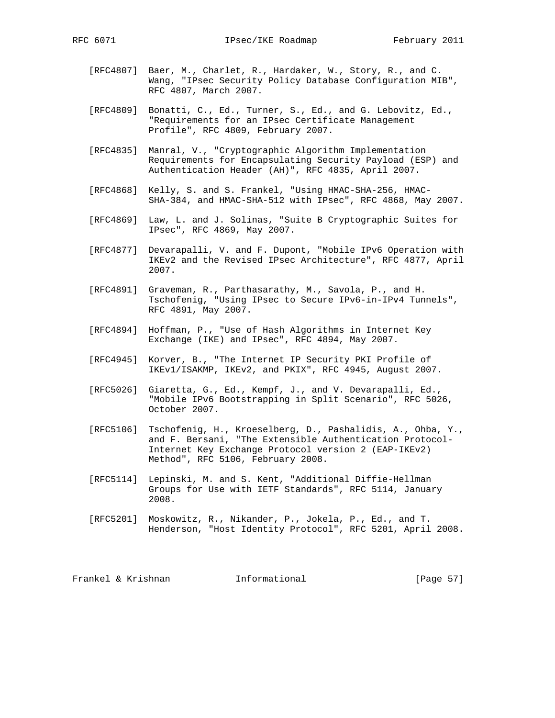- [RFC4807] Baer, M., Charlet, R., Hardaker, W., Story, R., and C. Wang, "IPsec Security Policy Database Configuration MIB", RFC 4807, March 2007.
- [RFC4809] Bonatti, C., Ed., Turner, S., Ed., and G. Lebovitz, Ed., "Requirements for an IPsec Certificate Management Profile", RFC 4809, February 2007.
- [RFC4835] Manral, V., "Cryptographic Algorithm Implementation Requirements for Encapsulating Security Payload (ESP) and Authentication Header (AH)", RFC 4835, April 2007.
- [RFC4868] Kelly, S. and S. Frankel, "Using HMAC-SHA-256, HMAC- SHA-384, and HMAC-SHA-512 with IPsec", RFC 4868, May 2007.
- [RFC4869] Law, L. and J. Solinas, "Suite B Cryptographic Suites for IPsec", RFC 4869, May 2007.
- [RFC4877] Devarapalli, V. and F. Dupont, "Mobile IPv6 Operation with IKEv2 and the Revised IPsec Architecture", RFC 4877, April 2007.
- [RFC4891] Graveman, R., Parthasarathy, M., Savola, P., and H. Tschofenig, "Using IPsec to Secure IPv6-in-IPv4 Tunnels", RFC 4891, May 2007.
- [RFC4894] Hoffman, P., "Use of Hash Algorithms in Internet Key Exchange (IKE) and IPsec", RFC 4894, May 2007.
- [RFC4945] Korver, B., "The Internet IP Security PKI Profile of IKEv1/ISAKMP, IKEv2, and PKIX", RFC 4945, August 2007.
- [RFC5026] Giaretta, G., Ed., Kempf, J., and V. Devarapalli, Ed., "Mobile IPv6 Bootstrapping in Split Scenario", RFC 5026, October 2007.
- [RFC5106] Tschofenig, H., Kroeselberg, D., Pashalidis, A., Ohba, Y., and F. Bersani, "The Extensible Authentication Protocol- Internet Key Exchange Protocol version 2 (EAP-IKEv2) Method", RFC 5106, February 2008.
- [RFC5114] Lepinski, M. and S. Kent, "Additional Diffie-Hellman Groups for Use with IETF Standards", RFC 5114, January 2008.
- [RFC5201] Moskowitz, R., Nikander, P., Jokela, P., Ed., and T. Henderson, "Host Identity Protocol", RFC 5201, April 2008.

| Frankel & Krishnan | Informational | [Page 57] |  |
|--------------------|---------------|-----------|--|
|                    |               |           |  |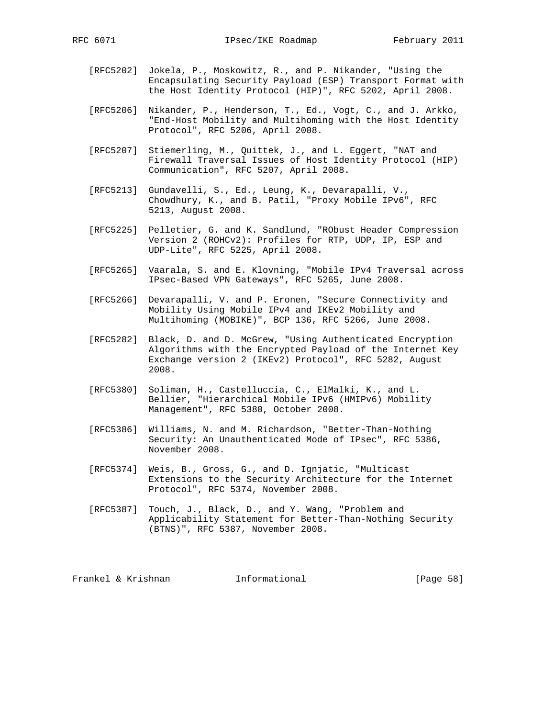- [RFC5202] Jokela, P., Moskowitz, R., and P. Nikander, "Using the Encapsulating Security Payload (ESP) Transport Format with the Host Identity Protocol (HIP)", RFC 5202, April 2008.
- [RFC5206] Nikander, P., Henderson, T., Ed., Vogt, C., and J. Arkko, "End-Host Mobility and Multihoming with the Host Identity Protocol", RFC 5206, April 2008.
- [RFC5207] Stiemerling, M., Quittek, J., and L. Eggert, "NAT and Firewall Traversal Issues of Host Identity Protocol (HIP) Communication", RFC 5207, April 2008.
- [RFC5213] Gundavelli, S., Ed., Leung, K., Devarapalli, V., Chowdhury, K., and B. Patil, "Proxy Mobile IPv6", RFC 5213, August 2008.
- [RFC5225] Pelletier, G. and K. Sandlund, "RObust Header Compression Version 2 (ROHCv2): Profiles for RTP, UDP, IP, ESP and UDP-Lite", RFC 5225, April 2008.
- [RFC5265] Vaarala, S. and E. Klovning, "Mobile IPv4 Traversal across IPsec-Based VPN Gateways", RFC 5265, June 2008.
- [RFC5266] Devarapalli, V. and P. Eronen, "Secure Connectivity and Mobility Using Mobile IPv4 and IKEv2 Mobility and Multihoming (MOBIKE)", BCP 136, RFC 5266, June 2008.
- [RFC5282] Black, D. and D. McGrew, "Using Authenticated Encryption Algorithms with the Encrypted Payload of the Internet Key Exchange version 2 (IKEv2) Protocol", RFC 5282, August 2008.
- [RFC5380] Soliman, H., Castelluccia, C., ElMalki, K., and L. Bellier, "Hierarchical Mobile IPv6 (HMIPv6) Mobility Management", RFC 5380, October 2008.
- [RFC5386] Williams, N. and M. Richardson, "Better-Than-Nothing Security: An Unauthenticated Mode of IPsec", RFC 5386, November 2008.
- [RFC5374] Weis, B., Gross, G., and D. Ignjatic, "Multicast Extensions to the Security Architecture for the Internet Protocol", RFC 5374, November 2008.
- [RFC5387] Touch, J., Black, D., and Y. Wang, "Problem and Applicability Statement for Better-Than-Nothing Security (BTNS)", RFC 5387, November 2008.

| Frankel & Krishnan | Informational | [Page 58] |
|--------------------|---------------|-----------|
|                    |               |           |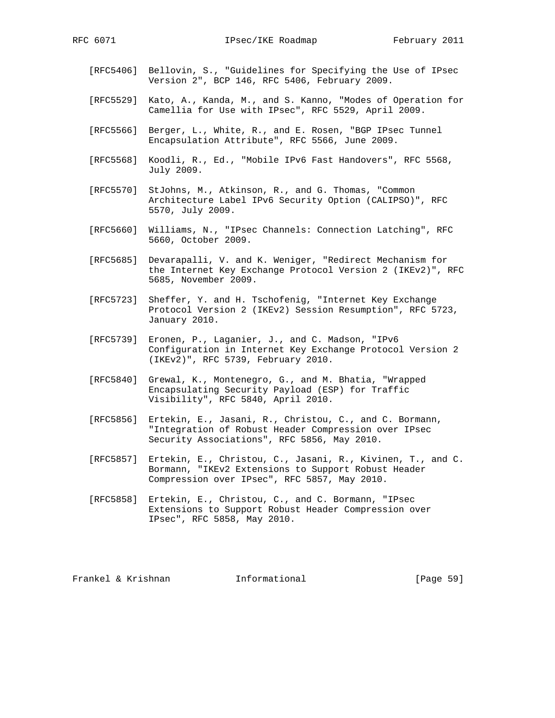- [RFC5406] Bellovin, S., "Guidelines for Specifying the Use of IPsec Version 2", BCP 146, RFC 5406, February 2009.
- [RFC5529] Kato, A., Kanda, M., and S. Kanno, "Modes of Operation for Camellia for Use with IPsec", RFC 5529, April 2009.
- [RFC5566] Berger, L., White, R., and E. Rosen, "BGP IPsec Tunnel Encapsulation Attribute", RFC 5566, June 2009.
- [RFC5568] Koodli, R., Ed., "Mobile IPv6 Fast Handovers", RFC 5568, July 2009.
- [RFC5570] StJohns, M., Atkinson, R., and G. Thomas, "Common Architecture Label IPv6 Security Option (CALIPSO)", RFC 5570, July 2009.
- [RFC5660] Williams, N., "IPsec Channels: Connection Latching", RFC 5660, October 2009.
- [RFC5685] Devarapalli, V. and K. Weniger, "Redirect Mechanism for the Internet Key Exchange Protocol Version 2 (IKEv2)", RFC 5685, November 2009.
- [RFC5723] Sheffer, Y. and H. Tschofenig, "Internet Key Exchange Protocol Version 2 (IKEv2) Session Resumption", RFC 5723, January 2010.
- [RFC5739] Eronen, P., Laganier, J., and C. Madson, "IPv6 Configuration in Internet Key Exchange Protocol Version 2 (IKEv2)", RFC 5739, February 2010.
- [RFC5840] Grewal, K., Montenegro, G., and M. Bhatia, "Wrapped Encapsulating Security Payload (ESP) for Traffic Visibility", RFC 5840, April 2010.
- [RFC5856] Ertekin, E., Jasani, R., Christou, C., and C. Bormann, "Integration of Robust Header Compression over IPsec Security Associations", RFC 5856, May 2010.
- [RFC5857] Ertekin, E., Christou, C., Jasani, R., Kivinen, T., and C. Bormann, "IKEv2 Extensions to Support Robust Header Compression over IPsec", RFC 5857, May 2010.
- [RFC5858] Ertekin, E., Christou, C., and C. Bormann, "IPsec Extensions to Support Robust Header Compression over IPsec", RFC 5858, May 2010.

Frankel & Krishnan Informational [Page 59]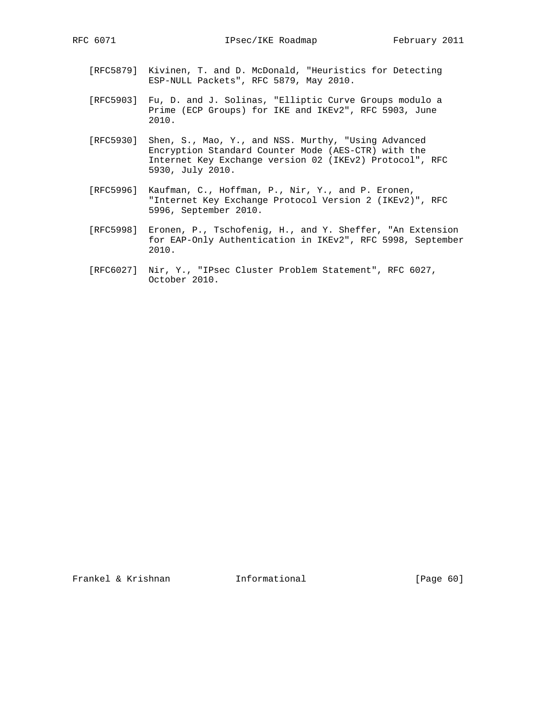- [RFC5879] Kivinen, T. and D. McDonald, "Heuristics for Detecting ESP-NULL Packets", RFC 5879, May 2010.
- [RFC5903] Fu, D. and J. Solinas, "Elliptic Curve Groups modulo a Prime (ECP Groups) for IKE and IKEv2", RFC 5903, June 2010.
- [RFC5930] Shen, S., Mao, Y., and NSS. Murthy, "Using Advanced Encryption Standard Counter Mode (AES-CTR) with the Internet Key Exchange version 02 (IKEv2) Protocol", RFC 5930, July 2010.
- [RFC5996] Kaufman, C., Hoffman, P., Nir, Y., and P. Eronen, "Internet Key Exchange Protocol Version 2 (IKEv2)", RFC 5996, September 2010.
- [RFC5998] Eronen, P., Tschofenig, H., and Y. Sheffer, "An Extension for EAP-Only Authentication in IKEv2", RFC 5998, September 2010.
- [RFC6027] Nir, Y., "IPsec Cluster Problem Statement", RFC 6027, October 2010.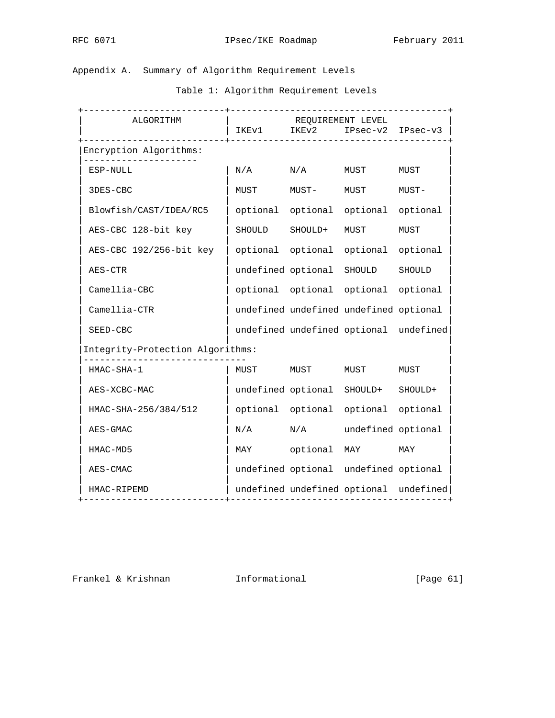# Appendix A. Summary of Algorithm Requirement Levels

Table 1: Algorithm Requirement Levels

| . _ _ _ _ _ _ _ _ _ _ _ _ _ _ _ _ _ _<br>ALGORITHM | --------------------------------------<br>IKEv1 IKEv2 IPsec-v2 IPsec-v3 | REQUIREMENT LEVEL          | --------------------------------       |                                        |
|----------------------------------------------------|-------------------------------------------------------------------------|----------------------------|----------------------------------------|----------------------------------------|
| Encryption Algorithms:                             |                                                                         |                            |                                        |                                        |
| ESP-NULL                                           | $\mathrm{N}/\mathrm{A}$                                                 | N/A                        | MUST                                   | MUST                                   |
| 3DES-CBC                                           | MUST                                                                    | MUST-                      | MUST                                   | MUST-                                  |
| Blowfish/CAST/IDEA/RC5                             |                                                                         |                            | optional optional optional optional    |                                        |
| AES-CBC 128-bit key                                |                                                                         | SHOULD SHOULD+             | MUST                                   | MUST                                   |
| AES-CBC 192/256-bit key                            |                                                                         |                            | optional optional optional optional    |                                        |
| AES-CTR                                            |                                                                         | undefined optional SHOULD  |                                        | SHOULD                                 |
| Camellia-CBC                                       |                                                                         |                            | optional optional optional optional    |                                        |
| $Camellia-CTR$                                     |                                                                         |                            | undefined undefined undefined optional |                                        |
| SEED-CBC                                           |                                                                         |                            | undefined undefined optional undefined |                                        |
| Integrity-Protection Algorithms:                   |                                                                         |                            |                                        |                                        |
| HMAC-SHA-1                                         |                                                                         | MUST MUST                  | MUST                                   | MUST                                   |
| AES-XCBC-MAC                                       |                                                                         |                            | undefined optional SHOULD+             | SHOULD+                                |
| HMAC-SHA-256/384/512                               |                                                                         |                            | optional optional optional optional    |                                        |
| AES-GMAC                                           |                                                                         |                            | N/A N/A undefined optional             |                                        |
| HMAC-MD5                                           |                                                                         |                            | MAY optional MAY MAY                   |                                        |
| AES-CMAC                                           |                                                                         |                            | undefined optional undefined optional  |                                        |
| HMAC-RIPEMD<br>. <u>.</u> .                        |                                                                         | -------------------------- |                                        | undefined undefined optional undefined |

Frankel & Krishnan **Informational** [Page 61]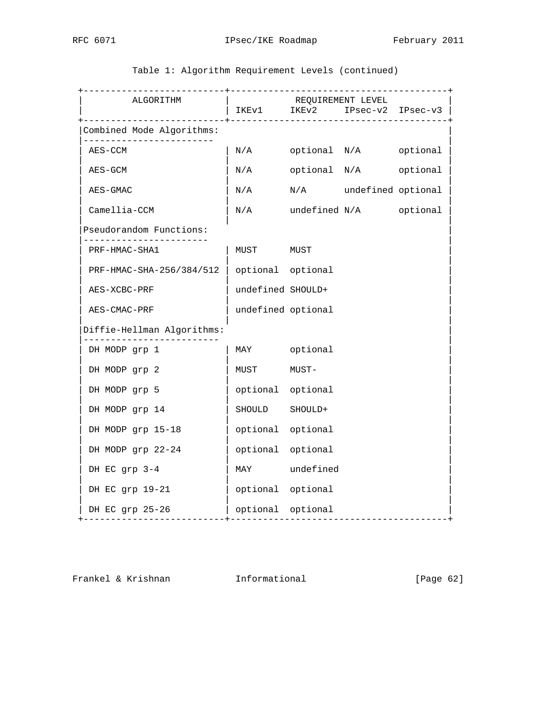| ALGORITHM                                    |                         |       | REQUIREMENT LEVEL<br>_________________________________ | IKEv1 IKEv2 IPsec-v2 IPsec-v3 |
|----------------------------------------------|-------------------------|-------|--------------------------------------------------------|-------------------------------|
| Combined Mode Algorithms:                    |                         |       |                                                        |                               |
| AES-CCM                                      |                         |       | N/A optional N/A optional                              |                               |
| AES-GCM                                      | $\mathrm{N}/\mathrm{A}$ |       | optional N/A optional                                  |                               |
| AES-GMAC                                     | $\rm N/A$               |       | N/A undefined optional                                 |                               |
| $Camellia-CCM$                               |                         |       | N/A undefined N/A optional                             |                               |
| Pseudorandom Functions:<br>-----------       |                         |       |                                                        |                               |
| PRF-HMAC-SHA1                                | MUST                    | MUST  |                                                        |                               |
| PRF-HMAC-SHA-256/384/512   optional optional |                         |       |                                                        |                               |
| AES-XCBC-PRF                                 | undefined SHOULD+       |       |                                                        |                               |
| AES-CMAC-PRF                                 | undefined optional      |       |                                                        |                               |
| Diffie-Hellman Algorithms:                   |                         |       |                                                        |                               |
| DH MODP grp 1                                | MAY optional            |       |                                                        |                               |
| DH MODP grp 2                                | MUST                    | MUST- |                                                        |                               |
| DH MODP grp 5                                | optional optional       |       |                                                        |                               |
| DH MODP grp 14                               | SHOULD SHOULD+          |       |                                                        |                               |
| DH MODP grp 15-18                            | optional optional       |       |                                                        |                               |
| DH MODP grp 22-24                            | optional optional       |       |                                                        |                               |
| DH EC grp 3-4                                | MAY undefined           |       |                                                        |                               |
| DH EC grp 19-21                              | optional optional       |       |                                                        |                               |
| DH EC grp 25-26<br>-----------               | optional optional       |       |                                                        |                               |

Table 1: Algorithm Requirement Levels (continued)

Frankel & Krishnan **Informational** [Page 62]